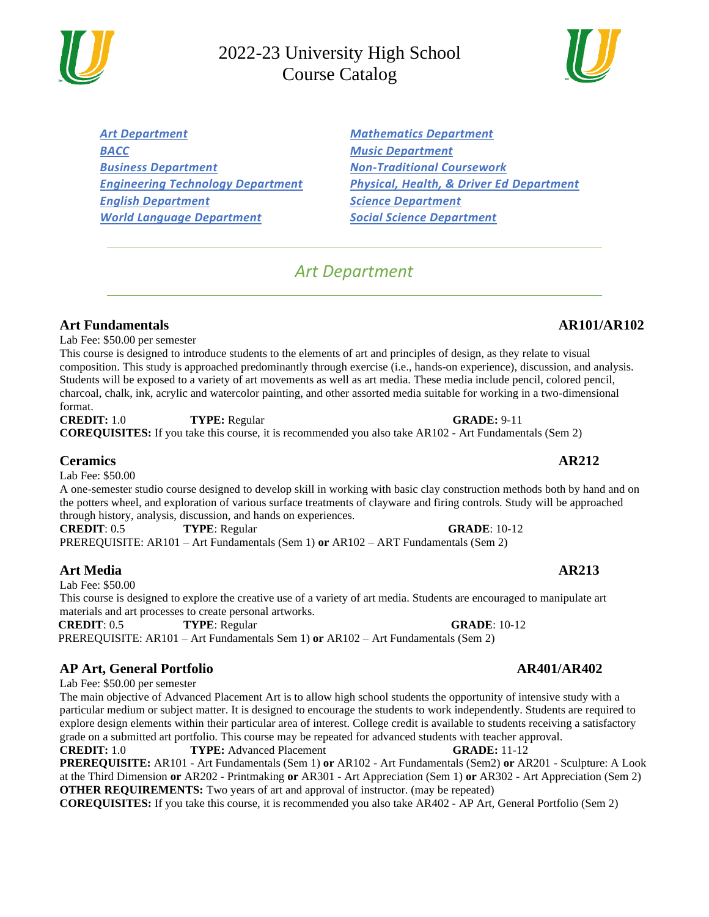*[Art Department](#page-0-0) [Mathematics Department](#page-9-0) [BACC](#page-1-0) [Music Department](#page-12-0) Business Department [Non-Traditional Coursework](#page-14-0) [Engineering Technology Department](#page-2-0) [Physical, Health, & Driver Ed Department](#page-15-0) [English Department](#page-4-0) [Science Department](#page-17-0) [World Language Department](#page-7-0) [Social Science Department](#page-19-0)*

# *Art Department*

<span id="page-0-0"></span>**Art Fundamentals AR101/AR102**

Lab Fee: \$50.00 per semester

This course is designed to introduce students to the elements of art and principles of design, as they relate to visual composition. This study is approached predominantly through exercise (i.e., hands-on experience), discussion, and analysis. Students will be exposed to a variety of art movements as well as art media. These media include pencil, colored pencil, charcoal, chalk, ink, acrylic and watercolor painting, and other assorted media suitable for working in a two-dimensional format.

**CREDIT:** 1.0 **TYPE:** Regular **GRADE:** 9-11 **COREQUISITES:** If you take this course, it is recommended you also take AR102 - Art Fundamentals (Sem 2)

### **Ceramics AR212**

Lab Fee: \$50.00

A one-semester studio course designed to develop skill in working with basic clay construction methods both by hand and on the potters wheel, and exploration of various surface treatments of clayware and firing controls. Study will be approached through history, analysis, discussion, and hands on experiences.

**CREDIT**: 0.5 **TYPE**: Regular **GRADE**: 10-12 PREREQUISITE: AR101 – Art Fundamentals (Sem 1) **or** AR102 – ART Fundamentals (Sem 2)

## **Art Media AR213**

Lab Fee: \$50.00

This course is designed to explore the creative use of a variety of art media. Students are encouraged to manipulate art materials and art processes to create personal artworks.

**CREDIT**: 0.5 **TYPE**: Regular **GRADE**: 10-12

PREREQUISITE: AR101 – Art Fundamentals Sem 1) **or** AR102 – Art Fundamentals (Sem 2)

### **AP Art, General Portfolio AR401/AR402**

Lab Fee: \$50.00 per semester

The main objective of Advanced Placement Art is to allow high school students the opportunity of intensive study with a particular medium or subject matter. It is designed to encourage the students to work independently. Students are required to explore design elements within their particular area of interest. College credit is available to students receiving a satisfactory grade on a submitted art portfolio. This course may be repeated for advanced students with teacher approval.

**CREDIT:** 1.0 **TYPE:** Advanced Placement **GRADE:** 11-12 **PREREQUISITE:** AR101 - Art Fundamentals (Sem 1) **or** AR102 - Art Fundamentals (Sem2) **or** AR201 - Sculpture: A Look at the Third Dimension **or** AR202 - Printmaking **or** AR301 - Art Appreciation (Sem 1) **or** AR302 - Art Appreciation (Sem 2) **OTHER REQUIREMENTS:** Two years of art and approval of instructor. (may be repeated)

**COREQUISITES:** If you take this course, it is recommended you also take AR402 - AP Art, General Portfolio (Sem 2)

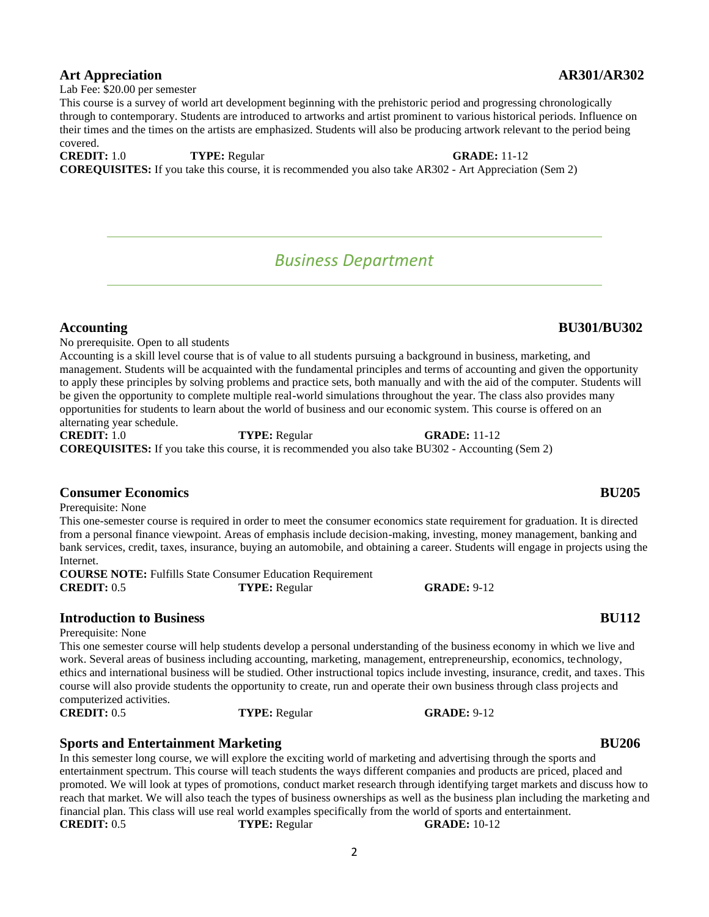## **Art Appreciation AR301/AR302**

Lab Fee: \$20.00 per semester

This course is a survey of world art development beginning with the prehistoric period and progressing chronologically through to contemporary. Students are introduced to artworks and artist prominent to various historical periods. Influence on their times and the times on the artists are emphasized. Students will also be producing artwork relevant to the period being covered.

### **CREDIT:** 1.0 **TYPE:** Regular **GRADE:** 11-12

<span id="page-1-0"></span>**COREQUISITES:** If you take this course, it is recommended you also take AR302 - Art Appreciation (Sem 2)

# *Business Department*

No prerequisite. Open to all students Accounting is a skill level course that is of value to all students pursuing a background in business, marketing, and management. Students will be acquainted with the fundamental principles and terms of accounting and given the opportunity to apply these principles by solving problems and practice sets, both manually and with the aid of the computer. Students will be given the opportunity to complete multiple real-world simulations throughout the year. The class also provides many opportunities for students to learn about the world of business and our economic system. This course is offered on an alternating year schedule.

**CREDIT:** 1.0 **TYPE:** Regular **GRADE:** 11-12 **COREQUISITES:** If you take this course, it is recommended you also take BU302 - Accounting (Sem 2)

### **Consumer Economics BU205**

Prerequisite: None

This one-semester course is required in order to meet the consumer economics state requirement for graduation. It is directed from a personal finance viewpoint. Areas of emphasis include decision-making, investing, money management, banking and bank services, credit, taxes, insurance, buying an automobile, and obtaining a career. Students will engage in projects using the Internet.

**COURSE NOTE:** Fulfills State Consumer Education Requirement **CREDIT:** 0.5 **TYPE:** Regular **GRADE:** 9-12

## **Introduction to Business BU112**

Prerequisite: None

This one semester course will help students develop a personal understanding of the business economy in which we live and work. Several areas of business including accounting, marketing, management, entrepreneurship, economics, technology, ethics and international business will be studied. Other instructional topics include investing, insurance, credit, and taxes. This course will also provide students the opportunity to create, run and operate their own business through class projects and computerized activities.

**CREDIT:** 0.5 **TYPE:** Regular **GRADE:** 9-12

### **Sports and Entertainment Marketing <b>BU206 BU206**

In this semester long course, we will explore the exciting world of marketing and advertising through the sports and entertainment spectrum. This course will teach students the ways different companies and products are priced, placed and promoted. We will look at types of promotions, conduct market research through identifying target markets and discuss how to reach that market. We will also teach the types of business ownerships as well as the business plan including the marketing and financial plan. This class will use real world examples specifically from the world of sports and entertainment. **CREDIT:** 0.5 **TYPE:** Regular **GRADE:** 10-12

## **Accounting BU301/BU302**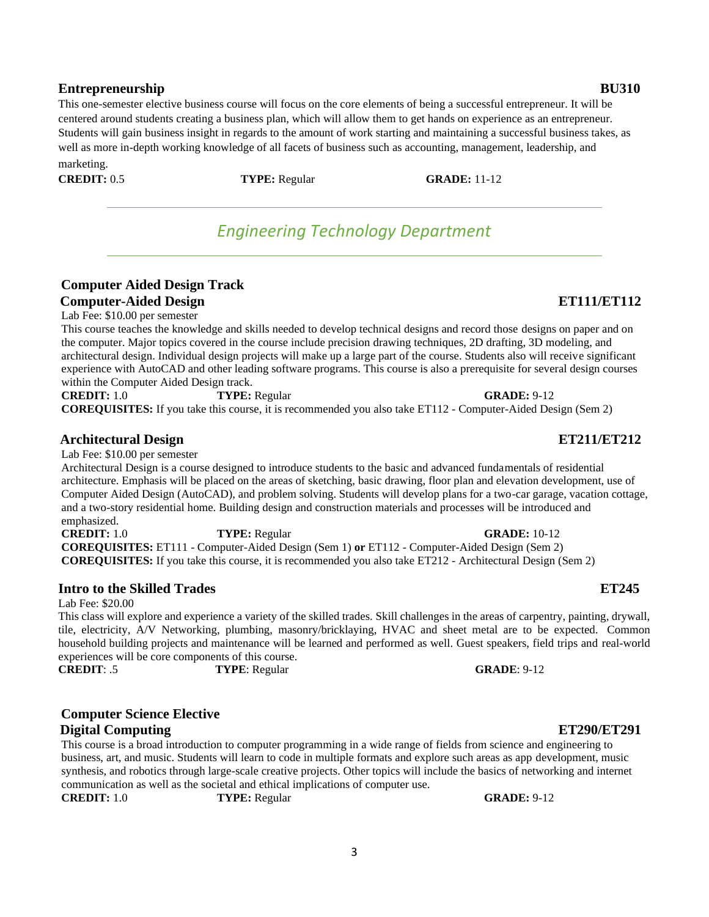## **Entrepreneurship BU310**

This one-semester elective business course will focus on the core elements of being a successful entrepreneur. It will be centered around students creating a business plan, which will allow them to get hands on experience as an entrepreneur. Students will gain business insight in regards to the amount of work starting and maintaining a successful business takes, as well as more in-depth working knowledge of all facets of business such as accounting, management, leadership, and marketing.

<span id="page-2-0"></span>**CREDIT:** 0.5 **TYPE:** Regular **GRADE:** 11-12

*Engineering Technology Department* 

## **Computer Aided Design Track Computer-Aided Design ET111/ET112**

Lab Fee: \$10.00 per semester

This course teaches the knowledge and skills needed to develop technical designs and record those designs on paper and on the computer. Major topics covered in the course include precision drawing techniques, 2D drafting, 3D modeling, and architectural design. Individual design projects will make up a large part of the course. Students also will receive significant experience with AutoCAD and other leading software programs. This course is also a prerequisite for several design courses within the Computer Aided Design track.

**CREDIT:** 1.0 **TYPE:** Regular **GRADE:** 9-12

**COREQUISITES:** If you take this course, it is recommended you also take ET112 - Computer-Aided Design (Sem 2)

## **Architectural Design ET211/ET212**

Lab Fee: \$10.00 per semester

Architectural Design is a course designed to introduce students to the basic and advanced fundamentals of residential architecture. Emphasis will be placed on the areas of sketching, basic drawing, floor plan and elevation development, use of Computer Aided Design (AutoCAD), and problem solving. Students will develop plans for a two-car garage, vacation cottage, and a two-story residential home. Building design and construction materials and processes will be introduced and emphasized.

**CREDIT:** 1.0 **TYPE:** Regular **GRADE:** 10-12 **COREQUISITES:** ET111 - Computer-Aided Design (Sem 1) **or** ET112 - Computer-Aided Design (Sem 2) **COREQUISITES:** If you take this course, it is recommended you also take ET212 - Architectural Design (Sem 2)

## **Intro to the Skilled Trades ET245**

Lab Fee: \$20.00

This class will explore and experience a variety of the skilled trades. Skill challenges in the areas of carpentry, painting, drywall, tile, electricity, A/V Networking, plumbing, masonry/bricklaying, HVAC and sheet metal are to be expected. Common household building projects and maintenance will be learned and performed as well. Guest speakers, field trips and real-world experiences will be core components of this course. **CREDIT**: .5 **TYPE**: Regular **GRADE**: 9-12

**Computer Science Elective**

## **Digital Computing ET290/ET291**

This course is a broad introduction to computer programming in a wide range of fields from science and engineering to business, art, and music. Students will learn to code in multiple formats and explore such areas as app development, music synthesis, and robotics through large-scale creative projects. Other topics will include the basics of networking and internet communication as well as the societal and ethical implications of computer use.

**CREDIT:** 1.0 **TYPE:** Regular **GRADE:** 9-12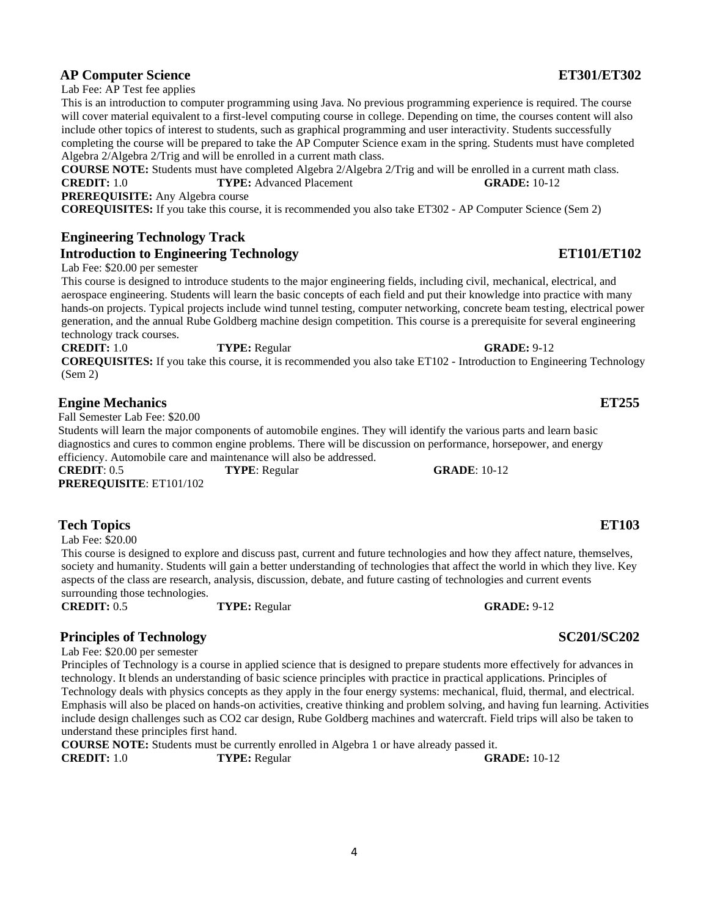## **AP Computer Science ET301/ET302**

Lab Fee: AP Test fee applies

This is an introduction to computer programming using Java. No previous programming experience is required. The course will cover material equivalent to a first-level computing course in college. Depending on time, the courses content will also include other topics of interest to students, such as graphical programming and user interactivity. Students successfully completing the course will be prepared to take the AP Computer Science exam in the spring. Students must have completed Algebra 2/Algebra 2/Trig and will be enrolled in a current math class.

**COURSE NOTE:** Students must have completed Algebra 2/Algebra 2/Trig and will be enrolled in a current math class. **CREDIT:** 1.0 **TYPE:** Advanced Placement **GRADE:** 10-12 **PREREQUISITE:** Any Algebra course

**COREQUISITES:** If you take this course, it is recommended you also take ET302 - AP Computer Science (Sem 2)

## **Engineering Technology Track Introduction to Engineering Technology ET101/ET102**

Lab Fee: \$20.00 per semester

This course is designed to introduce students to the major engineering fields, including civil, mechanical, electrical, and aerospace engineering. Students will learn the basic concepts of each field and put their knowledge into practice with many hands-on projects. Typical projects include wind tunnel testing, computer networking, concrete beam testing, electrical power generation, and the annual Rube Goldberg machine design competition. This course is a prerequisite for several engineering technology track courses.

**CREDIT:** 1.0 **TYPE:** Regular **GRADE:** 9-12 **COREQUISITES:** If you take this course, it is recommended you also take ET102 - Introduction to Engineering Technology (Sem 2)

### **Engine Mechanics ET255**

Fall Semester Lab Fee: \$20.00

Students will learn the major components of automobile engines. They will identify the various parts and learn basic diagnostics and cures to common engine problems. There will be discussion on performance, horsepower, and energy efficiency. Automobile care and maintenance will also be addressed. **CREDIT**: 0.5 **TYPE**: Regular **GRADE**: 10-12

**PREREQUISITE**: ET101/102

## **Tech Topics ET103**

Lab Fee: \$20.00

This course is designed to explore and discuss past, current and future technologies and how they affect nature, themselves, society and humanity. Students will gain a better understanding of technologies that affect the world in which they live. Key aspects of the class are research, analysis, discussion, debate, and future casting of technologies and current events surrounding those technologies.

**CREDIT:** 0.5 **TYPE:** Regular **GRADE:** 9-12

## **Principles of Technology SC201/SC202**

Lab Fee: \$20.00 per semester

Principles of Technology is a course in applied science that is designed to prepare students more effectively for advances in technology. It blends an understanding of basic science principles with practice in practical applications. Principles of Technology deals with physics concepts as they apply in the four energy systems: mechanical, fluid, thermal, and electrical. Emphasis will also be placed on hands-on activities, creative thinking and problem solving, and having fun learning. Activities include design challenges such as CO2 car design, Rube Goldberg machines and watercraft. Field trips will also be taken to understand these principles first hand.

**COURSE NOTE:** Students must be currently enrolled in Algebra 1 or have already passed it. **CREDIT:** 1.0 **TYPE:** Regular **GRADE:** 10-12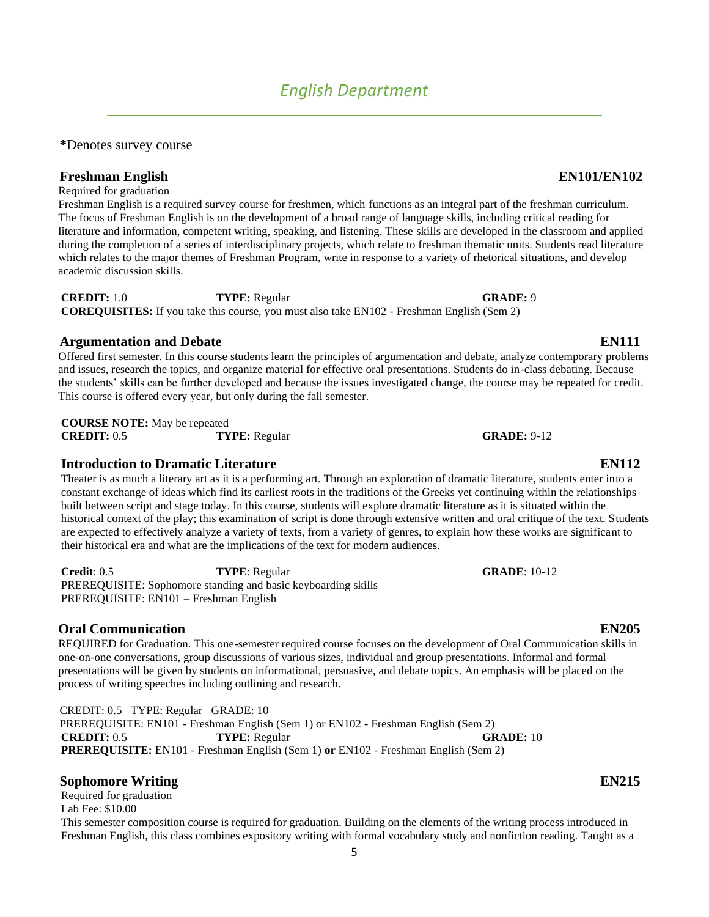# *English Department*

<span id="page-4-0"></span>**\***Denotes survey course

**Freshman English EN101/EN102** Required for graduation

Freshman English is a required survey course for freshmen, which functions as an integral part of the freshman curriculum. The focus of Freshman English is on the development of a broad range of language skills, including critical reading for literature and information, competent writing, speaking, and listening. These skills are developed in the classroom and applied during the completion of a series of interdisciplinary projects, which relate to freshman thematic units. Students read literature which relates to the major themes of Freshman Program, write in response to a variety of rhetorical situations, and develop academic discussion skills.

**CREDIT:** 1.0 **TYPE:** Regular **GRADE:** 9 **COREQUISITES:** If you take this course, you must also take EN102 - Freshman English (Sem 2)

## **Argumentation and Debate EN111**

Offered first semester. In this course students learn the principles of argumentation and debate, analyze contemporary problems and issues, research the topics, and organize material for effective oral presentations. Students do in-class debating. Because the students' skills can be further developed and because the issues investigated change, the course may be repeated for credit. This course is offered every year, but only during the fall semester.

**COURSE NOTE:** May be repeated **CREDIT:** 0.5 **TYPE:** Regular **GRADE:** 9-12

## **Introduction to Dramatic Literature EN112**

Theater is as much a literary art as it is a performing art. Through an exploration of dramatic literature, students enter into a constant exchange of ideas which find its earliest roots in the traditions of the Greeks yet continuing within the relationships built between script and stage today. In this course, students will explore dramatic literature as it is situated within the historical context of the play; this examination of script is done through extensive written and oral critique of the text. Students are expected to effectively analyze a variety of texts, from a variety of genres, to explain how these works are significant to their historical era and what are the implications of the text for modern audiences.

**Credit**: 0.5 **TYPE**: Regular **GRADE**: 10-12 PREREQUISITE: Sophomore standing and basic keyboarding skills PREREQUISITE: EN101 – Freshman English

## **Oral Communication EN205**

REQUIRED for Graduation. This one-semester required course focuses on the development of Oral Communication skills in one-on-one conversations, group discussions of various sizes, individual and group presentations. Informal and formal presentations will be given by students on informational, persuasive, and debate topics. An emphasis will be placed on the process of writing speeches including outlining and research.

CREDIT: 0.5 TYPE: Regular GRADE: 10 PREREQUISITE: EN101 - Freshman English (Sem 1) or EN102 - Freshman English (Sem 2) **CREDIT:** 0.5 **TYPE:** Regular **GRADE:** 10 **PREREQUISITE:** EN101 - Freshman English (Sem 1) **or** EN102 - Freshman English (Sem 2)

## **Sophomore Writing EN215**

Required for graduation Lab Fee: \$10.00 This semester composition course is required for graduation. Building on the elements of the writing process introduced in Freshman English, this class combines expository writing with formal vocabulary study and nonfiction reading. Taught as a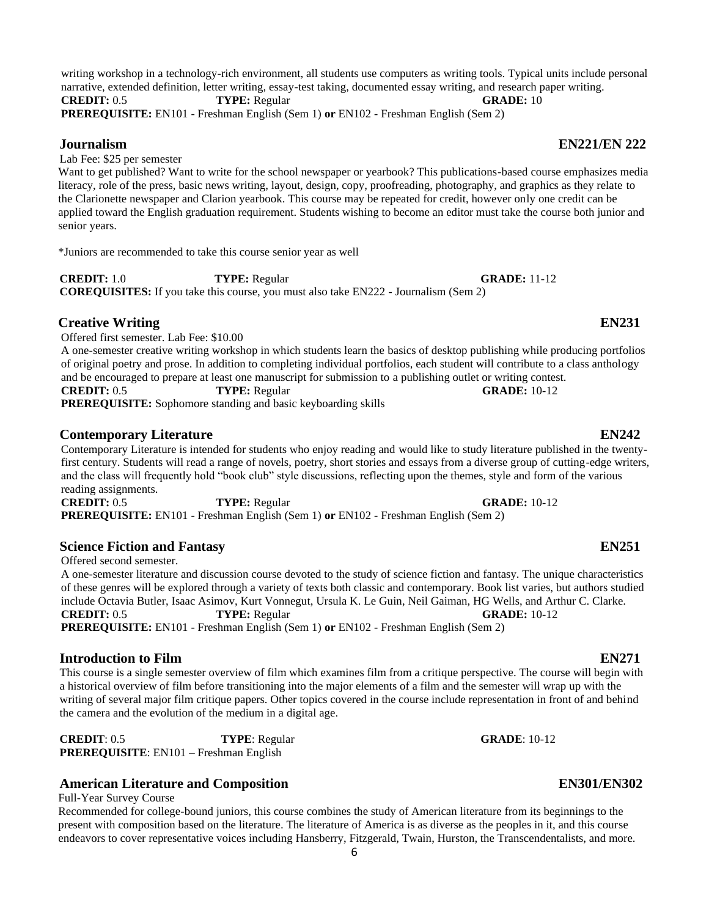writing workshop in a technology-rich environment, all students use computers as writing tools. Typical units include personal narrative, extended definition, letter writing, essay-test taking, documented essay writing, and research paper writing. **CREDIT:** 0.5 **TYPE:** Regular **GRADE:** 10

**PREREQUISITE:** EN101 - Freshman English (Sem 1) **or** EN102 - Freshman English (Sem 2)

Lab Fee: \$25 per semester

Want to get published? Want to write for the school newspaper or yearbook? This publications-based course emphasizes media literacy, role of the press, basic news writing, layout, design, copy, proofreading, photography, and graphics as they relate to the Clarionette newspaper and Clarion yearbook. This course may be repeated for credit, however only one credit can be applied toward the English graduation requirement. Students wishing to become an editor must take the course both junior and senior years.

\*Juniors are recommended to take this course senior year as well

**CREDIT:** 1.0 **TYPE:** Regular **GRADE:** 11-12 **COREQUISITES:** If you take this course, you must also take EN222 - Journalism (Sem 2)

## **Creative Writing EN231**

Offered first semester. Lab Fee: \$10.00

A one-semester creative writing workshop in which students learn the basics of desktop publishing while producing portfolios of original poetry and prose. In addition to completing individual portfolios, each student will contribute to a class anthology and be encouraged to prepare at least one manuscript for submission to a publishing outlet or writing contest. **CREDIT:** 0.5 **TYPE:** Regular **GRADE:** 10-12

**PREREQUISITE:** Sophomore standing and basic keyboarding skills

## **Contemporary Literature EN242**

Contemporary Literature is intended for students who enjoy reading and would like to study literature published in the twentyfirst century. Students will read a range of novels, poetry, short stories and essays from a diverse group of cutting-edge writers, and the class will frequently hold "book club" style discussions, reflecting upon the themes, style and form of the various reading assignments.

**CREDIT:** 0.5 **TYPE:** Regular **GRADE:** 10-12 **PREREQUISITE:** EN101 - Freshman English (Sem 1) **or** EN102 - Freshman English (Sem 2)

## **Science Fiction and Fantasy EN251**

Offered second semester.

A one-semester literature and discussion course devoted to the study of science fiction and fantasy. The unique characteristics of these genres will be explored through a variety of texts both classic and contemporary. Book list varies, but authors studied include Octavia Butler, Isaac Asimov, Kurt Vonnegut, Ursula K. Le Guin, Neil Gaiman, HG Wells, and Arthur C. Clarke. **CREDIT:** 0.5 **TYPE:** Regular **GRADE:** 10-12 **PREREQUISITE:** EN101 - Freshman English (Sem 1) **or** EN102 - Freshman English (Sem 2)

### **Introduction to Film EN271**

This course is a single semester overview of film which examines film from a critique perspective. The course will begin with a historical overview of film before transitioning into the major elements of a film and the semester will wrap up with the writing of several major film critique papers. Other topics covered in the course include representation in front of and behind the camera and the evolution of the medium in a digital age.

**CREDIT**: 0.5 **TYPE**: Regular **GRADE**: 10-12 **PREREQUISITE**: EN101 – Freshman English

## **American Literature and Composition EN301/EN302**

Full-Year Survey Course

Recommended for college-bound juniors, this course combines the study of American literature from its beginnings to the present with composition based on the literature. The literature of America is as diverse as the peoples in it, and this course endeavors to cover representative voices including Hansberry, Fitzgerald, Twain, Hurston, the Transcendentalists, and more.

## **Journalism EN221/EN 222**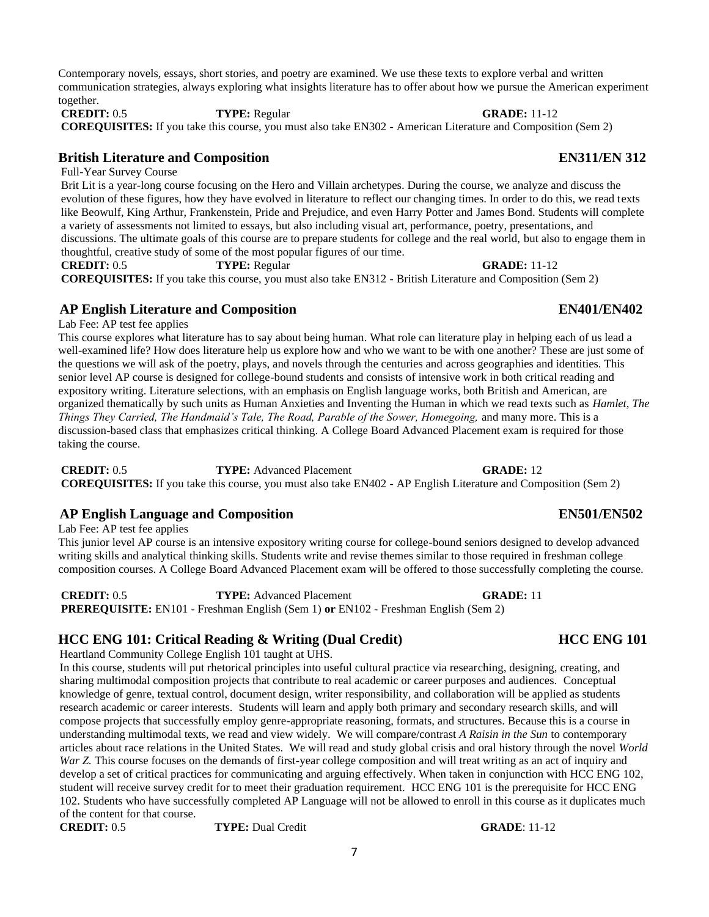Contemporary novels, essays, short stories, and poetry are examined. We use these texts to explore verbal and written communication strategies, always exploring what insights literature has to offer about how we pursue the American experiment together.

**CREDIT:** 0.5 **TYPE:** Regular **GRADE:** 11-12 **COREQUISITES:** If you take this course, you must also take EN302 - American Literature and Composition (Sem 2)

## **British Literature and Composition EN311/EN 312**

Full-Year Survey Course

Brit Lit is a year-long course focusing on the Hero and Villain archetypes. During the course, we analyze and discuss the evolution of these figures, how they have evolved in literature to reflect our changing times. In order to do this, we read texts like Beowulf, King Arthur, Frankenstein, Pride and Prejudice, and even Harry Potter and James Bond. Students will complete a variety of assessments not limited to essays, but also including visual art, performance, poetry, presentations, and discussions. The ultimate goals of this course are to prepare students for college and the real world, but also to engage them in thoughtful, creative study of some of the most popular figures of our time.

**CREDIT:** 0.5 **TYPE:** Regular **GRADE:** 11-12 **COREQUISITES:** If you take this course, you must also take EN312 - British Literature and Composition (Sem 2)

## **AP English Literature and Composition EN401/EN402**

Lab Fee: AP test fee applies

This course explores what literature has to say about being human. What role can literature play in helping each of us lead a well-examined life? How does literature help us explore how and who we want to be with one another? These are just some of the questions we will ask of the poetry, plays, and novels through the centuries and across geographies and identities. This senior level AP course is designed for college-bound students and consists of intensive work in both critical reading and expository writing. Literature selections, with an emphasis on English language works, both British and American, are organized thematically by such units as Human Anxieties and Inventing the Human in which we read texts such as *Hamlet, The Things They Carried, The Handmaid's Tale, The Road, Parable of the Sower, Homegoing,* and many more. This is a discussion-based class that emphasizes critical thinking. A College Board Advanced Placement exam is required for those taking the course.

**CREDIT:** 0.5 **TYPE:** Advanced Placement **GRADE:** 12 **COREQUISITES:** If you take this course, you must also take EN402 - AP English Literature and Composition (Sem 2)

## **AP English Language and Composition EN501/EN502**

Lab Fee: AP test fee applies

This junior level AP course is an intensive expository writing course for college-bound seniors designed to develop advanced writing skills and analytical thinking skills. Students write and revise themes similar to those required in freshman college composition courses. A College Board Advanced Placement exam will be offered to those successfully completing the course.

**CREDIT:** 0.5 **TYPE:** Advanced Placement **GRADE:** 11 **PREREQUISITE:** EN101 - Freshman English (Sem 1) **or** EN102 - Freshman English (Sem 2)

## **HCC ENG 101: Critical Reading & Writing (Dual Credit) HCC ENG 101**

Heartland Community College English 101 taught at UHS.

In this course, students will put rhetorical principles into useful cultural practice via researching, designing, creating, and sharing multimodal composition projects that contribute to real academic or career purposes and audiences. Conceptual knowledge of genre, textual control, document design, writer responsibility, and collaboration will be applied as students research academic or career interests. Students will learn and apply both primary and secondary research skills, and will compose projects that successfully employ genre-appropriate reasoning, formats, and structures. Because this is a course in understanding multimodal texts, we read and view widely. We will compare/contrast *A Raisin in the Sun* to contemporary articles about race relations in the United States. We will read and study global crisis and oral history through the novel *World War Z.* This course focuses on the demands of first-year college composition and will treat writing as an act of inquiry and develop a set of critical practices for communicating and arguing effectively. When taken in conjunction with HCC ENG 102, student will receive survey credit for to meet their graduation requirement. HCC ENG 101 is the prerequisite for HCC ENG 102. Students who have successfully completed AP Language will not be allowed to enroll in this course as it duplicates much of the content for that course.

**CREDIT:** 0.5 **TYPE:** Dual Credit **GRADE**: 11-12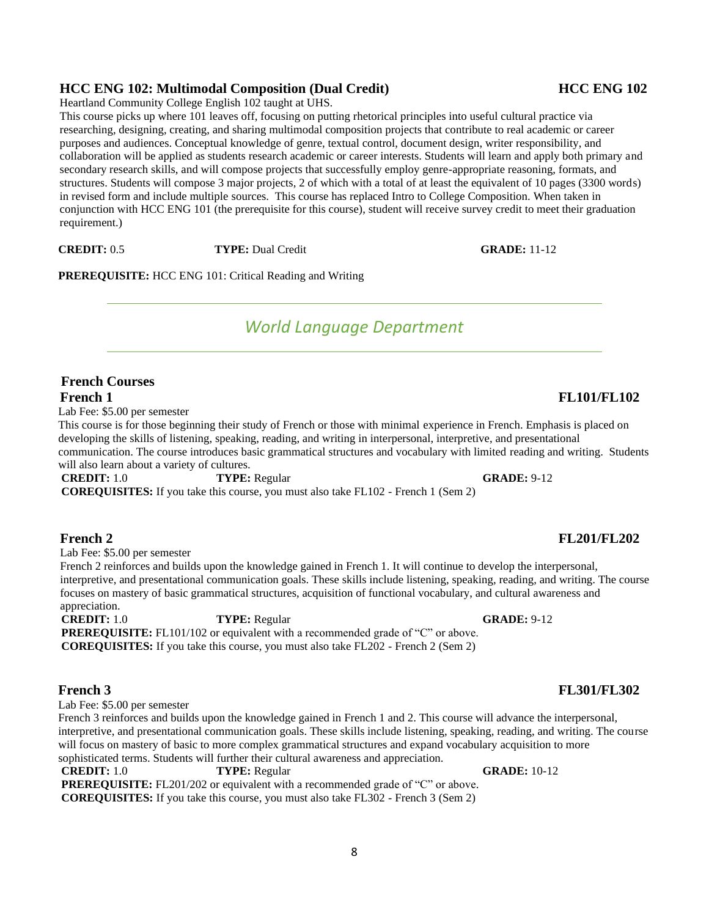## **HCC ENG 102: Multimodal Composition (Dual Credit) HCC ENG 102**

Heartland Community College English 102 taught at UHS.

This course picks up where 101 leaves off, focusing on putting rhetorical principles into useful cultural practice via researching, designing, creating, and sharing multimodal composition projects that contribute to real academic or career purposes and audiences. Conceptual knowledge of genre, textual control, document design, writer responsibility, and collaboration will be applied as students research academic or career interests. Students will learn and apply both primary and secondary research skills, and will compose projects that successfully employ genre-appropriate reasoning, formats, and structures. Students will compose 3 major projects, 2 of which with a total of at least the equivalent of 10 pages (3300 words) in revised form and include multiple sources. This course has replaced Intro to College Composition. When taken in conjunction with HCC ENG 101 (the prerequisite for this course), student will receive survey credit to meet their graduation requirement.)

**CREDIT:** 0.5 **TYPE:** Dual Credit **GRADE:** 11-12

<span id="page-7-0"></span>**PREREQUISITE:** HCC ENG 101: Critical Reading and Writing

# *World Language Department*

## **French Courses French 1 FL101/FL102**

Lab Fee: \$5.00 per semester

This course is for those beginning their study of French or those with minimal experience in French. Emphasis is placed on developing the skills of listening, speaking, reading, and writing in interpersonal, interpretive, and presentational communication. The course introduces basic grammatical structures and vocabulary with limited reading and writing. Students will also learn about a variety of cultures.

**CREDIT:** 1.0 **TYPE:** Regular **GRADE:** 9-12

**COREQUISITES:** If you take this course, you must also take FL102 - French 1 (Sem 2)

## **French 2 FL201/FL202**

Lab Fee: \$5.00 per semester

French 2 reinforces and builds upon the knowledge gained in French 1. It will continue to develop the interpersonal, interpretive, and presentational communication goals. These skills include listening, speaking, reading, and writing. The course focuses on mastery of basic grammatical structures, acquisition of functional vocabulary, and cultural awareness and appreciation.

**CREDIT:** 1.0 **TYPE:** Regular **GRADE:** 9-12 **PREREQUISITE:** FL101/102 or equivalent with a recommended grade of "C" or above. **COREQUISITES:** If you take this course, you must also take FL202 - French 2 (Sem 2)

Lab Fee: \$5.00 per semester

French 3 reinforces and builds upon the knowledge gained in French 1 and 2. This course will advance the interpersonal, interpretive, and presentational communication goals. These skills include listening, speaking, reading, and writing. The course will focus on mastery of basic to more complex grammatical structures and expand vocabulary acquisition to more sophisticated terms. Students will further their cultural awareness and appreciation.

**CREDIT:** 1.0 **TYPE:** Regular **GRADE:** 10-12 **PREREQUISITE:** FL201/202 or equivalent with a recommended grade of "C" or above. **COREQUISITES:** If you take this course, you must also take FL302 - French 3 (Sem 2)

## **French 3 FL301/FL302**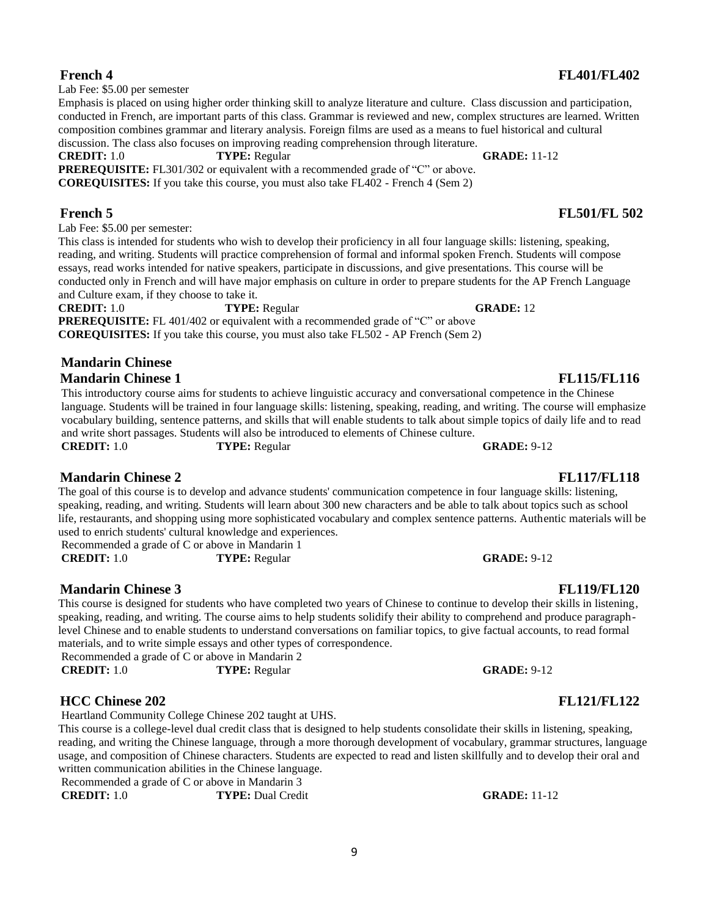Lab Fee: \$5.00 per semester

Emphasis is placed on using higher order thinking skill to analyze literature and culture. Class discussion and participation, conducted in French, are important parts of this class. Grammar is reviewed and new, complex structures are learned. Written composition combines grammar and literary analysis. Foreign films are used as a means to fuel historical and cultural discussion. The class also focuses on improving reading comprehension through literature.

**CREDIT:** 1.0 **TYPE:** Regular **GRADE:** 11-12 **PREREQUISITE:** FL301/302 or equivalent with a recommended grade of "C" or above.

**COREQUISITES:** If you take this course, you must also take FL402 - French 4 (Sem 2)

**French 5 FL501/FL 502**

Lab Fee: \$5.00 per semester:

This class is intended for students who wish to develop their proficiency in all four language skills: listening, speaking, reading, and writing. Students will practice comprehension of formal and informal spoken French. Students will compose essays, read works intended for native speakers, participate in discussions, and give presentations. This course will be conducted only in French and will have major emphasis on culture in order to prepare students for the AP French Language and Culture exam, if they choose to take it.

**CREDIT:** 1.0 **TYPE:** Regular **GRADE:** 12 **PREREQUISITE:** FL 401/402 or equivalent with a recommended grade of "C" or above **COREQUISITES:** If you take this course, you must also take FL502 - AP French (Sem 2)

### **Mandarin Chinese Mandarin Chinese 1 FL115/FL116**

This introductory course aims for students to achieve linguistic accuracy and conversational competence in the Chinese language. Students will be trained in four language skills: listening, speaking, reading, and writing. The course will emphasize vocabulary building, sentence patterns, and skills that will enable students to talk about simple topics of daily life and to read and write short passages. Students will also be introduced to elements of Chinese culture.

**Mandarin Chinese 2 FL117/FL118**

The goal of this course is to develop and advance students' communication competence in four language skills: listening, speaking, reading, and writing. Students will learn about 300 new characters and be able to talk about topics such as school life, restaurants, and shopping using more sophisticated vocabulary and complex sentence patterns. Authentic materials will be used to enrich students' cultural knowledge and experiences.

Recommended a grade of C or above in Mandarin 1 **CREDIT:** 1.0 **TYPE:** Regular **GRADE:** 9-12

**Mandarin Chinese 3 FL119/FL120**

This course is designed for students who have completed two years of Chinese to continue to develop their skills in listening, speaking, reading, and writing. The course aims to help students solidify their ability to comprehend and produce paragraphlevel Chinese and to enable students to understand conversations on familiar topics, to give factual accounts, to read formal materials, and to write simple essays and other types of correspondence.

Recommended a grade of C or above in Mandarin 2 **CREDIT:** 1.0 **TYPE:** Regular **GRADE:** 9-12

## **HCC Chinese 202 FL121/FL122**

Heartland Community College Chinese 202 taught at UHS.

This course is a college-level dual credit class that is designed to help students consolidate their skills in listening, speaking, reading, and writing the Chinese language, through a more thorough development of vocabulary, grammar structures, language usage, and composition of Chinese characters. Students are expected to read and listen skillfully and to develop their oral and written communication abilities in the Chinese language.

Recommended a grade of C or above in Mandarin 3

**CREDIT:** 1.0 **TYPE:** Dual Credit **GRADE:** 11-12

### **French 4 FL401/FL402**

**CREDIT:** 1.0 **TYPE:** Regular **GRADE:** 9-12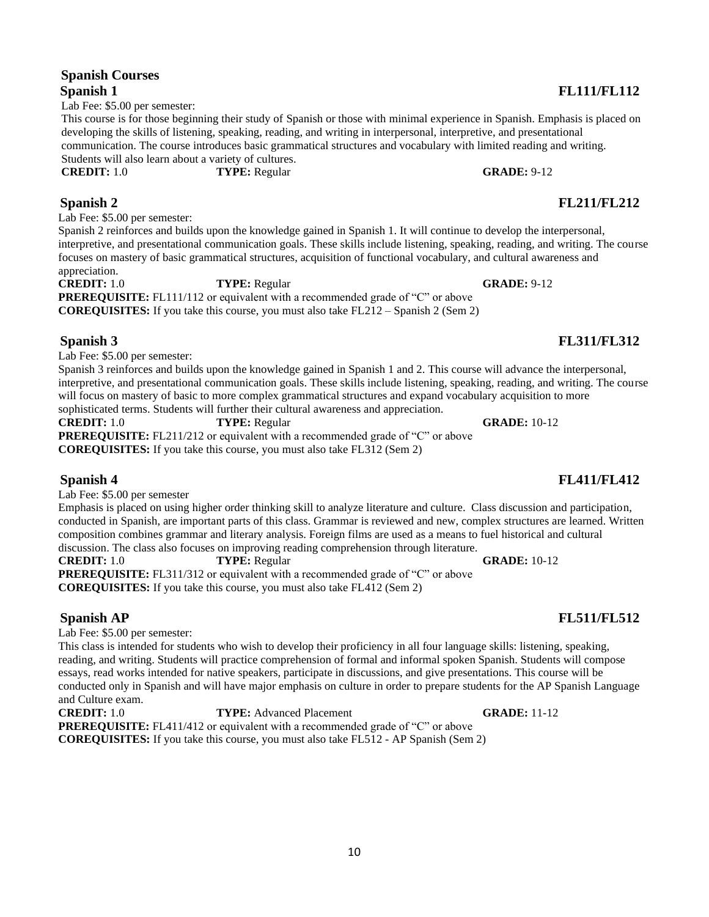### 10

### **Spanish Courses Spanish 1 FL111/FL112**

Lab Fee: \$5.00 per semester:

This course is for those beginning their study of Spanish or those with minimal experience in Spanish. Emphasis is placed on developing the skills of listening, speaking, reading, and writing in interpersonal, interpretive, and presentational communication. The course introduces basic grammatical structures and vocabulary with limited reading and writing. Students will also learn about a variety of cultures. **CREDIT:** 1.0 **TYPE:** Regular **GRADE:** 9-12

**Spanish 2 FL211/FL212** Lab Fee: \$5.00 per semester:

Spanish 2 reinforces and builds upon the knowledge gained in Spanish 1. It will continue to develop the interpersonal, interpretive, and presentational communication goals. These skills include listening, speaking, reading, and writing. The course focuses on mastery of basic grammatical structures, acquisition of functional vocabulary, and cultural awareness and appreciation.

**CREDIT:** 1.0 **TYPE:** Regular **GRADE:** 9-12 **PREREQUISITE:** FL111/112 or equivalent with a recommended grade of "C" or above **COREQUISITES:** If you take this course, you must also take FL212 – Spanish 2 (Sem 2)

## **Spanish 3 FL311/FL312**

Lab Fee: \$5.00 per semester:

Spanish 3 reinforces and builds upon the knowledge gained in Spanish 1 and 2. This course will advance the interpersonal, interpretive, and presentational communication goals. These skills include listening, speaking, reading, and writing. The course will focus on mastery of basic to more complex grammatical structures and expand vocabulary acquisition to more sophisticated terms. Students will further their cultural awareness and appreciation.

**CREDIT:** 1.0 **TYPE:** Regular **GRADE:** 10-12 **PREREQUISITE:** FL211/212 or equivalent with a recommended grade of "C" or above **COREQUISITES:** If you take this course, you must also take FL312 (Sem 2)

Lab Fee: \$5.00 per semester

Emphasis is placed on using higher order thinking skill to analyze literature and culture. Class discussion and participation, conducted in Spanish, are important parts of this class. Grammar is reviewed and new, complex structures are learned. Written composition combines grammar and literary analysis. Foreign films are used as a means to fuel historical and cultural discussion. The class also focuses on improving reading comprehension through literature.

**CREDIT:** 1.0 **TYPE:** Regular **GRADE:** 10-12 **PREREQUISITE:** FL311/312 or equivalent with a recommended grade of "C" or above **COREQUISITES:** If you take this course, you must also take FL412 (Sem 2)

## **Spanish AP FL511/FL512**

Lab Fee: \$5.00 per semester:

This class is intended for students who wish to develop their proficiency in all four language skills: listening, speaking, reading, and writing. Students will practice comprehension of formal and informal spoken Spanish. Students will compose essays, read works intended for native speakers, participate in discussions, and give presentations. This course will be conducted only in Spanish and will have major emphasis on culture in order to prepare students for the AP Spanish Language and Culture exam.

<span id="page-9-0"></span>**CREDIT:** 1.0 **TYPE:** Advanced Placement **GRADE:** 11-12 **PREREQUISITE:** FL411/412 or equivalent with a recommended grade of "C" or above **COREQUISITES:** If you take this course, you must also take FL512 - AP Spanish (Sem 2)

## **Spanish 4 FL411/FL412**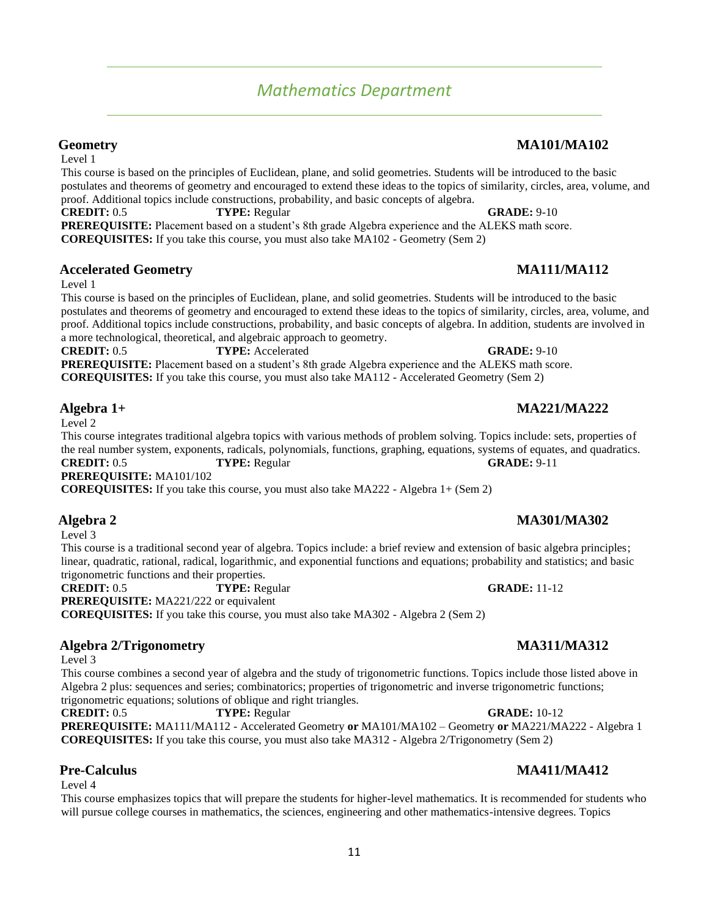# *Mathematics Department*

Level 1

This course is based on the principles of Euclidean, plane, and solid geometries. Students will be introduced to the basic postulates and theorems of geometry and encouraged to extend these ideas to the topics of similarity, circles, area, volume, and proof. Additional topics include constructions, probability, and basic concepts of algebra.

**CREDIT:** 0.5 **TYPE:** Regular **GRADE:** 9-10 **PREREQUISITE:** Placement based on a student's 8th grade Algebra experience and the ALEKS math score. **COREQUISITES:** If you take this course, you must also take MA102 - Geometry (Sem 2)

## **Accelerated Geometry MA111/MA112**

Level 1

This course is based on the principles of Euclidean, plane, and solid geometries. Students will be introduced to the basic postulates and theorems of geometry and encouraged to extend these ideas to the topics of similarity, circles, area, volume, and proof. Additional topics include constructions, probability, and basic concepts of algebra. In addition, students are involved in a more technological, theoretical, and algebraic approach to geometry.

**CREDIT:** 0.5 **TYPE:** Accelerated **GRADE:** 9-10 **PREREQUISITE:** Placement based on a student's 8th grade Algebra experience and the ALEKS math score. **COREQUISITES:** If you take this course, you must also take MA112 - Accelerated Geometry (Sem 2)

## **Algebra 1+ MA221/MA222**

Level 2

This course integrates traditional algebra topics with various methods of problem solving. Topics include: sets, properties of the real number system, exponents, radicals, polynomials, functions, graphing, equations, systems of equates, and quadratics. **CREDIT:** 0.5 **TYPE:** Regular **GRADE:** 9-11 **PREREQUISITE:** MA101/102

**COREQUISITES:** If you take this course, you must also take MA222 - Algebra 1+ (Sem 2)

## **Algebra 2 MA301/MA302**

Level 3

This course is a traditional second year of algebra. Topics include: a brief review and extension of basic algebra principles; linear, quadratic, rational, radical, logarithmic, and exponential functions and equations; probability and statistics; and basic trigonometric functions and their properties.

**CREDIT:** 0.5 **TYPE:** Regular **GRADE:** 11-12

**PREREQUISITE:** MA221/222 or equivalent

**COREQUISITES:** If you take this course, you must also take MA302 - Algebra 2 (Sem 2)

## **Algebra 2/Trigonometry MA311/MA312**

Level 3

This course combines a second year of algebra and the study of trigonometric functions. Topics include those listed above in Algebra 2 plus: sequences and series; combinatorics; properties of trigonometric and inverse trigonometric functions; trigonometric equations; solutions of oblique and right triangles.

**CREDIT:** 0.5 **TYPE:** Regular **GRADE:** 10-12 **PREREQUISITE:** MA111/MA112 - Accelerated Geometry **or** MA101/MA102 – Geometry **or** MA221/MA222 - Algebra 1 **COREQUISITES:** If you take this course, you must also take MA312 - Algebra 2/Trigonometry (Sem 2)

## **Pre-Calculus MA411/MA412**

Level 4

This course emphasizes topics that will prepare the students for higher-level mathematics. It is recommended for students who will pursue college courses in mathematics, the sciences, engineering and other mathematics-intensive degrees. Topics

## **Geometry MA101/MA102**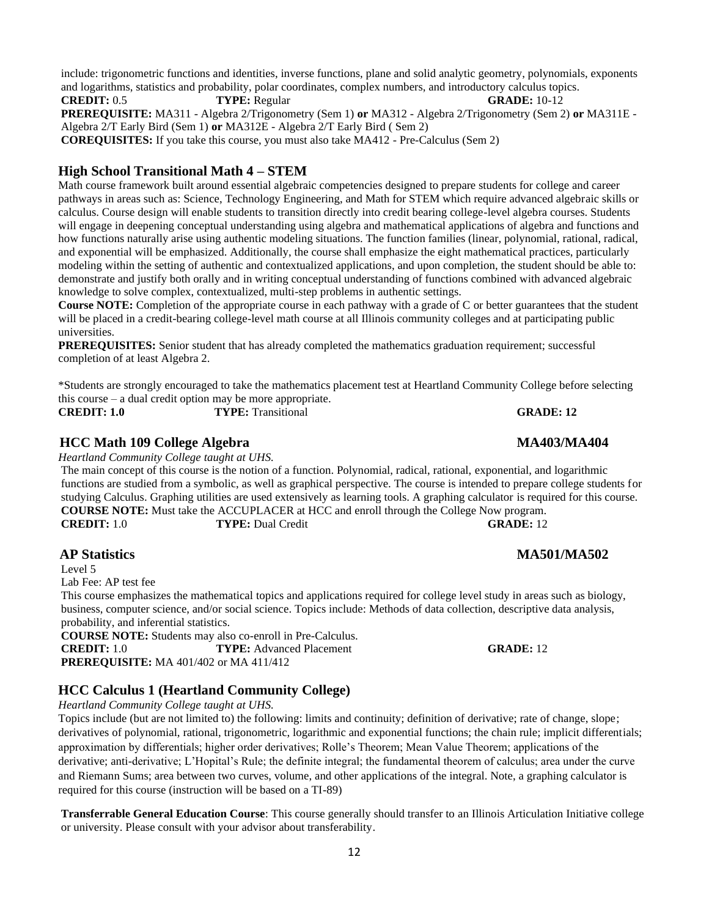include: trigonometric functions and identities, inverse functions, plane and solid analytic geometry, polynomials, exponents and logarithms, statistics and probability, polar coordinates, complex numbers, and introductory calculus topics.

**CREDIT:** 0.5 **TYPE:** Regular **GRADE:** 10-12 **PREREQUISITE:** MA311 - Algebra 2/Trigonometry (Sem 1) **or** MA312 - Algebra 2/Trigonometry (Sem 2) **or** MA311E - Algebra 2/T Early Bird (Sem 1) **or** MA312E - Algebra 2/T Early Bird ( Sem 2) **COREQUISITES:** If you take this course, you must also take MA412 - Pre-Calculus (Sem 2)

## **High School Transitional Math 4 – STEM**

Math course framework built around essential algebraic competencies designed to prepare students for college and career pathways in areas such as: Science, Technology Engineering, and Math for STEM which require advanced algebraic skills or calculus. Course design will enable students to transition directly into credit bearing college-level algebra courses. Students will engage in deepening conceptual understanding using algebra and mathematical applications of algebra and functions and how functions naturally arise using authentic modeling situations. The function families (linear, polynomial, rational, radical, and exponential will be emphasized. Additionally, the course shall emphasize the eight mathematical practices, particularly modeling within the setting of authentic and contextualized applications, and upon completion, the student should be able to: demonstrate and justify both orally and in writing conceptual understanding of functions combined with advanced algebraic knowledge to solve complex, contextualized, multi-step problems in authentic settings.

**Course NOTE:** Completion of the appropriate course in each pathway with a grade of C or better guarantees that the student will be placed in a credit-bearing college-level math course at all Illinois community colleges and at participating public universities.

**PREREQUISITES:** Senior student that has already completed the mathematics graduation requirement; successful completion of at least Algebra 2.

\*Students are strongly encouraged to take the mathematics placement test at Heartland Community College before selecting this course – a dual credit option may be more appropriate.

**CREDIT: 1.0** TYPE: Transitional **GRADE: 12 GRADE: 12** 

## **HCC Math 109 College Algebra MA403/MA404**

*Heartland Community College taught at UHS.*

The main concept of this course is the notion of a function. Polynomial, radical, rational, exponential, and logarithmic functions are studied from a symbolic, as well as graphical perspective. The course is intended to prepare college students for studying Calculus. Graphing utilities are used extensively as learning tools. A graphing calculator is required for this course. **COURSE NOTE:** Must take the ACCUPLACER at HCC and enroll through the College Now program. **CREDIT:** 1.0 **TYPE:** Dual Credit **GRADE:** 12

## **AP Statistics MA501/MA502**

Level 5

Lab Fee: AP test fee

This course emphasizes the mathematical topics and applications required for college level study in areas such as biology, business, computer science, and/or social science. Topics include: Methods of data collection, descriptive data analysis, probability, and inferential statistics.

**COURSE NOTE:** Students may also co-enroll in Pre-Calculus.

**CREDIT:** 1.0 **TYPE:** Advanced Placement **GRADE:** 12 **PREREQUISITE:** MA 401/402 or MA 411/412

## **HCC Calculus 1 (Heartland Community College)**

*Heartland Community College taught at UHS.*

Topics include (but are not limited to) the following: limits and continuity; definition of derivative; rate of change, slope; derivatives of polynomial, rational, trigonometric, logarithmic and exponential functions; the chain rule; implicit differentials; approximation by differentials; higher order derivatives; Rolle's Theorem; Mean Value Theorem; applications of the derivative; anti-derivative; L'Hopital's Rule; the definite integral; the fundamental theorem of calculus; area under the curve and Riemann Sums; area between two curves, volume, and other applications of the integral. Note, a graphing calculator is required for this course (instruction will be based on a TI-89)

**Transferrable General Education Course**: This course generally should transfer to an Illinois Articulation Initiative college or university. Please consult with your advisor about transferability.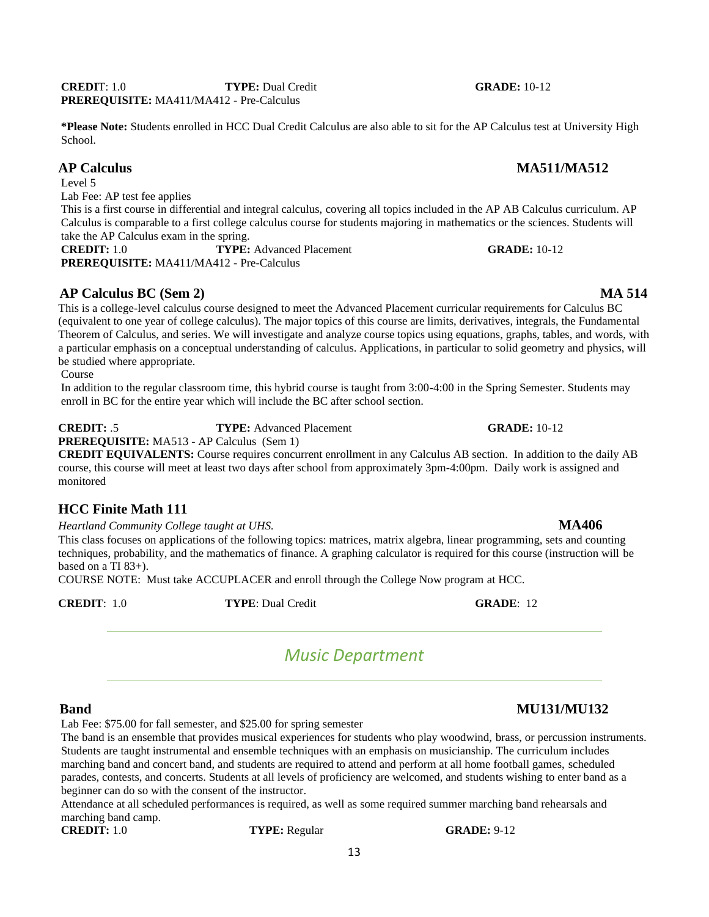**\*Please Note:** Students enrolled in HCC Dual Credit Calculus are also able to sit for the AP Calculus test at University High

This is a first course in differential and integral calculus, covering all topics included in the AP AB Calculus curriculum. AP Calculus is comparable to a first college calculus course for students majoring in mathematics or the sciences. Students will

**AP Calculus BC (Sem 2) MA 514** This is a college-level calculus course designed to meet the Advanced Placement curricular requirements for Calculus BC (equivalent to one year of college calculus). The major topics of this course are limits, derivatives, integrals, the Fundamental Theorem of Calculus, and series. We will investigate and analyze course topics using equations, graphs, tables, and words, with a particular emphasis on a conceptual understanding of calculus. Applications, in particular to solid geometry and physics, will

**CREDIT:** .5 **TYPE:** Advanced Placement **GRADE:** 10-12

In addition to the regular classroom time, this hybrid course is taught from 3:00-4:00 in the Spring Semester. Students may

**PREREQUISITE:** MA513 - AP Calculus (Sem 1)

enroll in BC for the entire year which will include the BC after school section.

**PREREQUISITE:** MA411/MA412 - Pre-Calculus

**CREDIT EQUIVALENTS:** Course requires concurrent enrollment in any Calculus AB section. In addition to the daily AB course, this course will meet at least two days after school from approximately 3pm-4:00pm. Daily work is assigned and monitored

## **HCC Finite Math 111**

be studied where appropriate.

*Heartland Community College taught at UHS.* **MA406**

This class focuses on applications of the following topics: matrices, matrix algebra, linear programming, sets and counting techniques, probability, and the mathematics of finance. A graphing calculator is required for this course (instruction will be based on a TI 83+).

COURSE NOTE: Must take ACCUPLACER and enroll through the College Now program at HCC.

<span id="page-12-0"></span>**CREDIT**: 1.0 **TYPE**: Dual Credit **GRADE**: 12

School.

Level 5

Course

Lab Fee: AP test fee applies

take the AP Calculus exam in the spring.

**PREREQUISITE:** MA411/MA412 - Pre-Calculus

*Music Department*

## **Band MU131/MU132**

Lab Fee: \$75.00 for fall semester, and \$25.00 for spring semester

The band is an ensemble that provides musical experiences for students who play woodwind, brass, or percussion instruments. Students are taught instrumental and ensemble techniques with an emphasis on musicianship. The curriculum includes marching band and concert band, and students are required to attend and perform at all home football games, scheduled parades, contests, and concerts. Students at all levels of proficiency are welcomed, and students wishing to enter band as a beginner can do so with the consent of the instructor.

13

Attendance at all scheduled performances is required, as well as some required summer marching band rehearsals and marching band camp.<br>**CREDIT:** 1.0

**CRADE:** 9-12

## **CREDIT**: 1.0 **TYPE:** Dual Credit **GRADE:** 10-12

# **AP Calculus MA511/MA512**

**CREDIT:** 1.0 **TYPE:** Advanced Placement **GRADE:** 10-12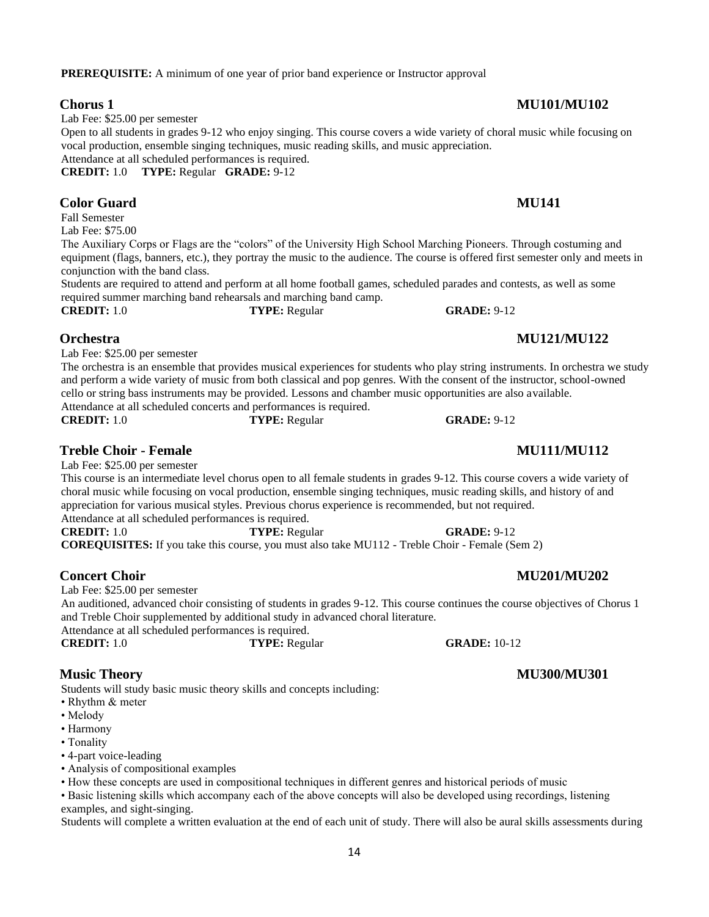## **PREREQUISITE:** A minimum of one year of prior band experience or Instructor approval

Lab Fee: \$25.00 per semester

Open to all students in grades 9-12 who enjoy singing. This course covers a wide variety of choral music while focusing on vocal production, ensemble singing techniques, music reading skills, and music appreciation. Attendance at all scheduled performances is required.

**CREDIT:** 1.0 **TYPE:** Regular **GRADE:** 9-12

## **Color Guard MU141**

Fall Semester Lab Fee: \$75.00

The Auxiliary Corps or Flags are the "colors" of the University High School Marching Pioneers. Through costuming and equipment (flags, banners, etc.), they portray the music to the audience. The course is offered first semester only and meets in conjunction with the band class.

Students are required to attend and perform at all home football games, scheduled parades and contests, as well as some required summer marching band rehearsals and marching band camp.

**CREDIT:** 1.0 **TYPE:** Regular **GRADE:** 9-12

## **Orchestra MU121/MU122**

Lab Fee: \$25.00 per semester

The orchestra is an ensemble that provides musical experiences for students who play string instruments. In orchestra we study and perform a wide variety of music from both classical and pop genres. With the consent of the instructor, school-owned cello or string bass instruments may be provided. Lessons and chamber music opportunities are also available.

Attendance at all scheduled concerts and performances is required.<br> **CREDIT:** 1.0 **TYPE:** Regular **CRADE:** 9-12

## **Treble Choir - Female MU111/MU112**

Lab Fee: \$25.00 per semester

This course is an intermediate level chorus open to all female students in grades 9-12. This course covers a wide variety of choral music while focusing on vocal production, ensemble singing techniques, music reading skills, and history of and appreciation for various musical styles. Previous chorus experience is recommended, but not required. Attendance at all scheduled performances is required.

**CREDIT:** 1.0 **TYPE:** Regular **GRADE:** 9-12 **COREQUISITES:** If you take this course, you must also take MU112 - Treble Choir - Female (Sem 2)

Lab Fee: \$25.00 per semester

An auditioned, advanced choir consisting of students in grades 9-12. This course continues the course objectives of Chorus 1 and Treble Choir supplemented by additional study in advanced choral literature.

Attendance at all scheduled performances is required.<br> **CREDIT:** 1.0 TYPE: Regu **CRADE:** 10-12

**Music Theory MU300/MU301**

Students will study basic music theory skills and concepts including:

- Rhythm & meter
- Melody
- Harmony
- Tonality
- 4-part voice-leading
- Analysis of compositional examples

• How these concepts are used in compositional techniques in different genres and historical periods of music

• Basic listening skills which accompany each of the above concepts will also be developed using recordings, listening examples, and sight-singing.

Students will complete a written evaluation at the end of each unit of study. There will also be aural skills assessments during

## **Chorus 1 MU101/MU102**

## **Concert Choir MU201/MU202**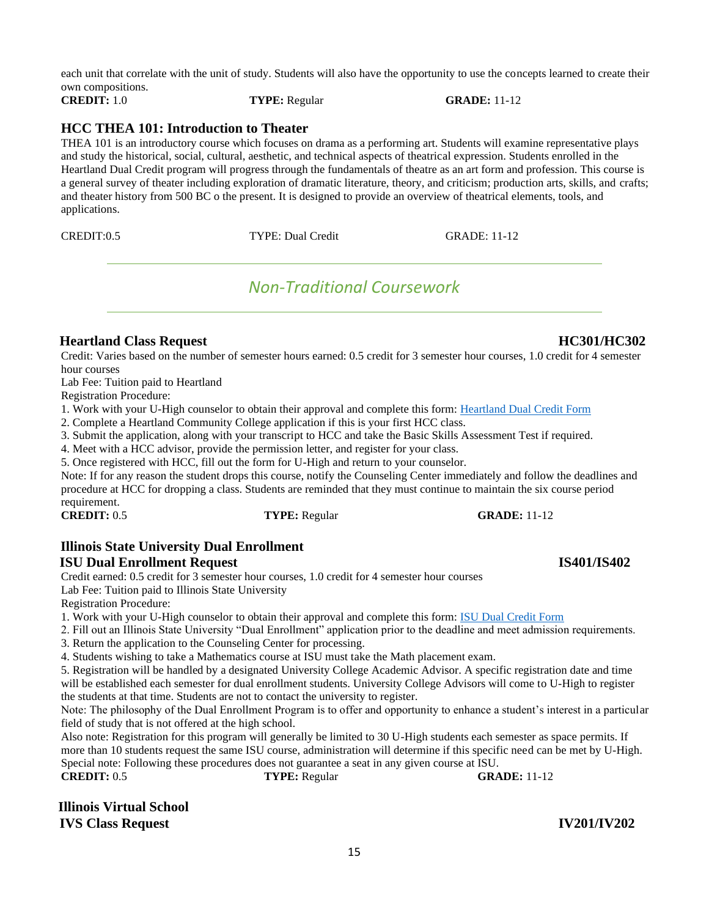each unit that correlate with the unit of study. Students will also have the opportunity to use the concepts learned to create their own compositions.

**CREDIT:** 1.0 **TYPE:** Regular **GRADE:** 11-12

## **HCC THEA 101: Introduction to Theater**

THEA 101 is an introductory course which focuses on drama as a performing art. Students will examine representative plays and study the historical, social, cultural, aesthetic, and technical aspects of theatrical expression. Students enrolled in the Heartland Dual Credit program will progress through the fundamentals of theatre as an art form and profession. This course is a general survey of theater including exploration of dramatic literature, theory, and criticism; production arts, skills, and crafts; and theater history from 500 BC o the present. It is designed to provide an overview of theatrical elements, tools, and applications.

<span id="page-14-0"></span>

# *Non-Traditional Coursework*

## **Heartland Class Request HC301/HC302**

Credit: Varies based on the number of semester hours earned: 0.5 credit for 3 semester hour courses, 1.0 credit for 4 semester hour courses

Lab Fee: Tuition paid to Heartland

Registration Procedure:

1. Work with your U-High counselor to obtain their approval and complete this form: [Heartland Dual Credit Form](https://forms.illinoisstate.edu/forms/uhigh_forms)

2. Complete a Heartland Community College application if this is your first HCC class.

3. Submit the application, along with your transcript to HCC and take the Basic Skills Assessment Test if required.

4. Meet with a HCC advisor, provide the permission letter, and register for your class.

5. Once registered with HCC, fill out the form for U-High and return to your counselor.

Note: If for any reason the student drops this course, notify the Counseling Center immediately and follow the deadlines and procedure at HCC for dropping a class. Students are reminded that they must continue to maintain the six course period requirement.<br>CREDIT: 0.5

## **Illinois State University Dual Enrollment**

## **ISU Dual Enrollment Request IS401/IS402**

Credit earned: 0.5 credit for 3 semester hour courses, 1.0 credit for 4 semester hour courses Lab Fee: Tuition paid to Illinois State University

Registration Procedure:

1. Work with your U-High counselor to obtain their approval and complete this form: [ISU Dual Credit Form](https://forms.illinoisstate.edu/forms/uhigh_forms)

2. Fill out an Illinois State University "Dual Enrollment" application prior to the deadline and meet admission requirements.

3. Return the application to the Counseling Center for processing.

4. Students wishing to take a Mathematics course at ISU must take the Math placement exam.

5. Registration will be handled by a designated University College Academic Advisor. A specific registration date and time will be established each semester for dual enrollment students. University College Advisors will come to U-High to register the students at that time. Students are not to contact the university to register.

Note: The philosophy of the Dual Enrollment Program is to offer and opportunity to enhance a student's interest in a particular field of study that is not offered at the high school.

Also note: Registration for this program will generally be limited to 30 U-High students each semester as space permits. If more than 10 students request the same ISU course, administration will determine if this specific need can be met by U-High. Special note: Following these procedures does not guarantee a seat in any given course at ISU.

**CREDIT:** 0.5 **TYPE:** Regular **GRADE:** 11-12

**Illinois Virtual School IVS Class Request IV201/IV202**



## **CRADE:** 11-12

CREDIT:0.5 TYPE: Dual Credit GRADE: 11-12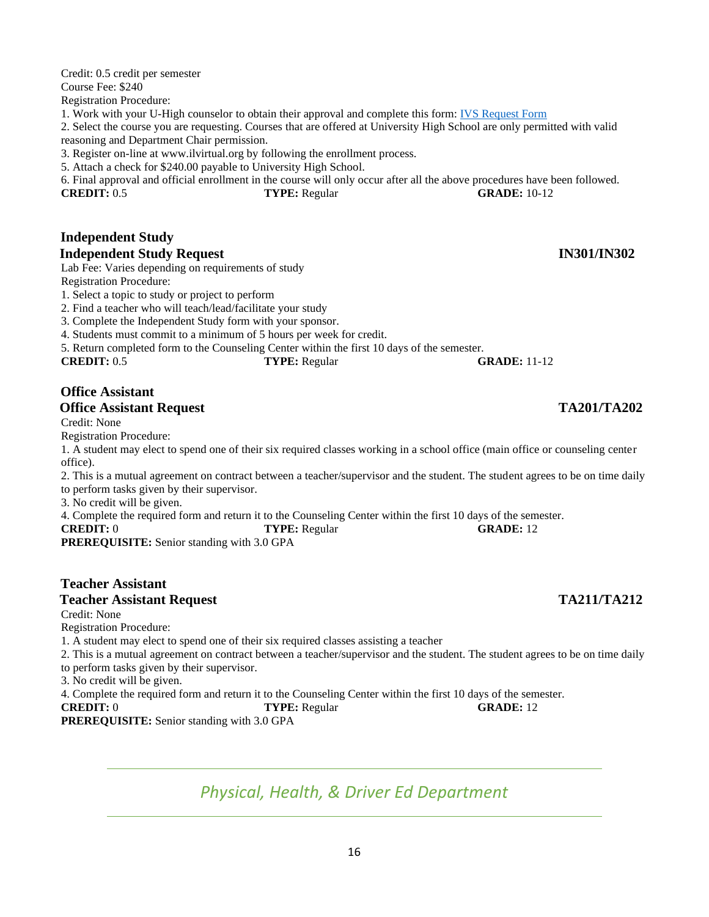Credit: 0.5 credit per semester Course Fee: \$240 Registration Procedure: 1. Work with your U-High counselor to obtain their approval and complete this form: [IVS Request Form](https://forms.illinoisstate.edu/forms/uhigh_forms) 2. Select the course you are requesting. Courses that are offered at University High School are only permitted with valid reasoning and Department Chair permission. 3. Register on-line at www.ilvirtual.org by following the enrollment process.

5. Attach a check for \$240.00 payable to University High School.

6. Final approval and official enrollment in the course will only occur after all the above procedures have been followed. **CREDIT:** 0.5 **TYPE:** Regular **GRADE:** 10-12

## **Independent Study Independent Study Request IN301/IN302**

Lab Fee: Varies depending on requirements of study

Registration Procedure:

1. Select a topic to study or project to perform

2. Find a teacher who will teach/lead/facilitate your study

3. Complete the Independent Study form with your sponsor.

4. Students must commit to a minimum of 5 hours per week for credit.

5. Return completed form to the Counseling Center within the first 10 days of the semester.

**CREDIT:** 0.5 **TYPE:** Regular **GRADE:** 11-12

### **Office Assistant Office Assistant Request TA201/TA202**

Credit: None

Registration Procedure:

1. A student may elect to spend one of their six required classes working in a school office (main office or counseling center office).

2. This is a mutual agreement on contract between a teacher/supervisor and the student. The student agrees to be on time daily to perform tasks given by their supervisor.

3. No credit will be given.

4. Complete the required form and return it to the Counseling Center within the first 10 days of the semester.

### **CREDIT:** 0 **TYPE:** Regular **GRADE:** 12

**PREREQUISITE:** Senior standing with 3.0 GPA

## **Teacher Assistant**

### **Teacher Assistant Request TA211/TA212**

Credit: None

Registration Procedure:

1. A student may elect to spend one of their six required classes assisting a teacher

2. This is a mutual agreement on contract between a teacher/supervisor and the student. The student agrees to be on time daily

to perform tasks given by their supervisor.

3. No credit will be given.

4. Complete the required form and return it to the Counseling Center within the first 10 days of the semester.

**CREDIT:** 0 **TYPE:** Regular **GRADE:** 12

<span id="page-15-0"></span>**PREREQUISITE:** Senior standing with 3.0 GPA

# *Physical, Health, & Driver Ed Department*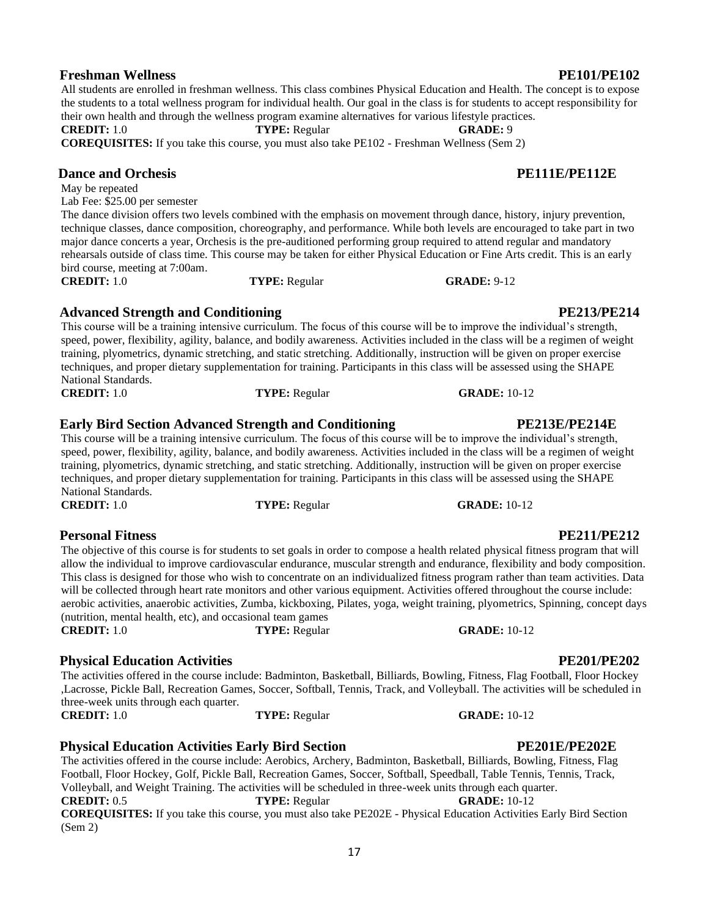## **Freshman Wellness PE101/PE102**

# **Dance and Orchesis PE111E/PE112E**

May be repeated

Lab Fee: \$25.00 per semester The dance division offers two levels combined with the emphasis on movement through dance, history, injury prevention, technique classes, dance composition, choreography, and performance. While both levels are encouraged to take part in two major dance concerts a year, Orchesis is the pre-auditioned performing group required to attend regular and mandatory rehearsals outside of class time. This course may be taken for either Physical Education or Fine Arts credit. This is an early

their own health and through the wellness program examine alternatives for various lifestyle practices.

bird course, meeting at 7:00am. **CREDIT:** 1.0 **TYPE:** Regular **GRADE:** 9-12

## **Advanced Strength and Conditioning PE213/PE214**

This course will be a training intensive curriculum. The focus of this course will be to improve the individual's strength, speed, power, flexibility, agility, balance, and bodily awareness. Activities included in the class will be a regimen of weight training, plyometrics, dynamic stretching, and static stretching. Additionally, instruction will be given on proper exercise techniques, and proper dietary supplementation for training. Participants in this class will be assessed using the SHAPE National Standards. **CREDIT:** 1.0 **TYPE:** Regular **GRADE:** 10-12

the students to a total wellness program for individual health. Our goal in the class is for students to accept responsibility for

## **Early Bird Section Advanced Strength and Conditioning PE213E/PE214E**

This course will be a training intensive curriculum. The focus of this course will be to improve the individual's strength, speed, power, flexibility, agility, balance, and bodily awareness. Activities included in the class will be a regimen of weight training, plyometrics, dynamic stretching, and static stretching. Additionally, instruction will be given on proper exercise techniques, and proper dietary supplementation for training. Participants in this class will be assessed using the SHAPE National Standards.

## **Personal Fitness PE211/PE212**

The objective of this course is for students to set goals in order to compose a health related physical fitness program that will allow the individual to improve cardiovascular endurance, muscular strength and endurance, flexibility and body composition. This class is designed for those who wish to concentrate on an individualized fitness program rather than team activities. Data will be collected through heart rate monitors and other various equipment. Activities offered throughout the course include: aerobic activities, anaerobic activities, Zumba, kickboxing, Pilates, yoga, weight training, plyometrics, Spinning, concept days (nutrition, mental health, etc), and occasional team games **CREDIT:** 1.0 **TYPE:** Regular **GRADE:** 10-12

## **Physical Education Activities PE201/PE202**

The activities offered in the course include: Badminton, Basketball, Billiards, Bowling, Fitness, Flag Football, Floor Hockey ,Lacrosse, Pickle Ball, Recreation Games, Soccer, Softball, Tennis, Track, and Volleyball. The activities will be scheduled in three-week units through each quarter. **CREDIT:** 1.0 **TYPE:** Regular **GRADE:** 10-12

**Physical Education Activities Early Bird Section PE201E/PE202E** The activities offered in the course include: Aerobics, Archery, Badminton, Basketball, Billiards, Bowling, Fitness, Flag Football, Floor Hockey, Golf, Pickle Ball, Recreation Games, Soccer, Softball, Speedball, Table Tennis, Tennis, Track, Volleyball, and Weight Training. The activities will be scheduled in three-week units through each quarter. **CREDIT:** 0.5 **TYPE:** Regular **GRADE:** 10-12 **COREQUISITES:** If you take this course, you must also take PE202E - Physical Education Activities Early Bird Section (Sem 2)

## All students are enrolled in freshman wellness. This class combines Physical Education and Health. The concept is to expose

**COREQUISITES:** If you take this course, you must also take PE102 - Freshman Wellness (Sem 2)

**CREDIT:** 1.0 **TYPE:** Regular **GRADE:** 9

**CREDIT:** 1.0 **TYPE:** Regular **GRADE:** 10-12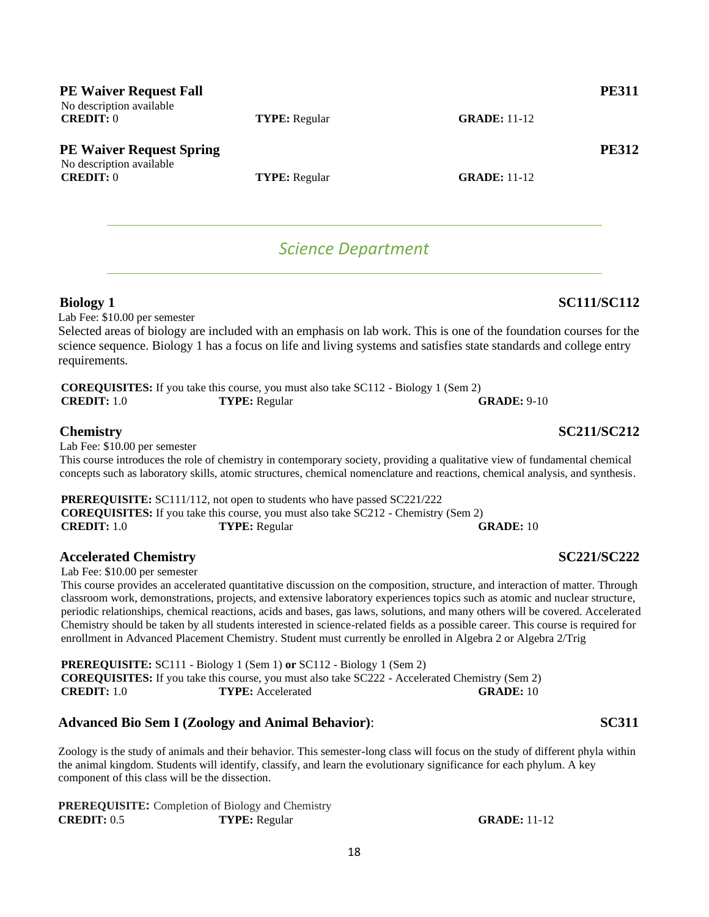| <b>PE Waiver Request Fall</b><br>No description available   |                      |                     | <b>PE311</b> |
|-------------------------------------------------------------|----------------------|---------------------|--------------|
| CREDIT: 0                                                   | <b>TYPE:</b> Regular | <b>GRADE: 11-12</b> |              |
| <b>PE Waiver Request Spring</b><br>No description available |                      |                     | <b>PE312</b> |
| CREDIT: 0                                                   | <b>TYPE:</b> Regular | <b>GRADE: 11-12</b> |              |

## *Science Department*

## <span id="page-17-0"></span>**Biology 1 SC111/SC112**

Lab Fee: \$10.00 per semester

Selected areas of biology are included with an emphasis on lab work. This is one of the foundation courses for the science sequence. Biology 1 has a focus on life and living systems and satisfies state standards and college entry requirements.

|                      | <b>COREQUISITES:</b> If you take this course, you must also take SC112 - Biology 1 (Sem 2) |                    |
|----------------------|--------------------------------------------------------------------------------------------|--------------------|
| <b>CREDIT:</b> $1.0$ | <b>TYPE:</b> Regular                                                                       | <b>GRADE: 9-10</b> |

### **Chemistry SC211/SC212**

Lab Fee: \$10.00 per semester

This course introduces the role of chemistry in contemporary society, providing a qualitative view of fundamental chemical concepts such as laboratory skills, atomic structures, chemical nomenclature and reactions, chemical analysis, and synthesis.

**PREREQUISITE:** SC111/112, not open to students who have passed SC221/222 **COREQUISITES:** If you take this course, you must also take SC212 - Chemistry (Sem 2) **CREDIT:** 1.0 **TYPE:** Regular **GRADE:** 10

### **Accelerated Chemistry SC221/SC222**

Lab Fee: \$10.00 per semester

This course provides an accelerated quantitative discussion on the composition, structure, and interaction of matter. Through classroom work, demonstrations, projects, and extensive laboratory experiences topics such as atomic and nuclear structure, periodic relationships, chemical reactions, acids and bases, gas laws, solutions, and many others will be covered. Accelerated Chemistry should be taken by all students interested in science-related fields as a possible career. This course is required for enrollment in Advanced Placement Chemistry. Student must currently be enrolled in Algebra 2 or Algebra 2/Trig

**PREREQUISITE:** SC111 - Biology 1 (Sem 1) **or** SC112 - Biology 1 (Sem 2) **COREQUISITES:** If you take this course, you must also take SC222 - Accelerated Chemistry (Sem 2) **CREDIT:** 1.0 **TYPE:** Accelerated **GRADE:** 10

### **Advanced Bio Sem I (Zoology and Animal Behavior)**: **SC311**

Zoology is the study of animals and their behavior. This semester-long class will focus on the study of different phyla within the animal kingdom. Students will identify, classify, and learn the evolutionary significance for each phylum. A key component of this class will be the dissection.

**PREREQUISITE:** Completion of Biology and Chemistry **CREDIT:** 0.5 **TYPE:** Regular **GRADE:** 11-12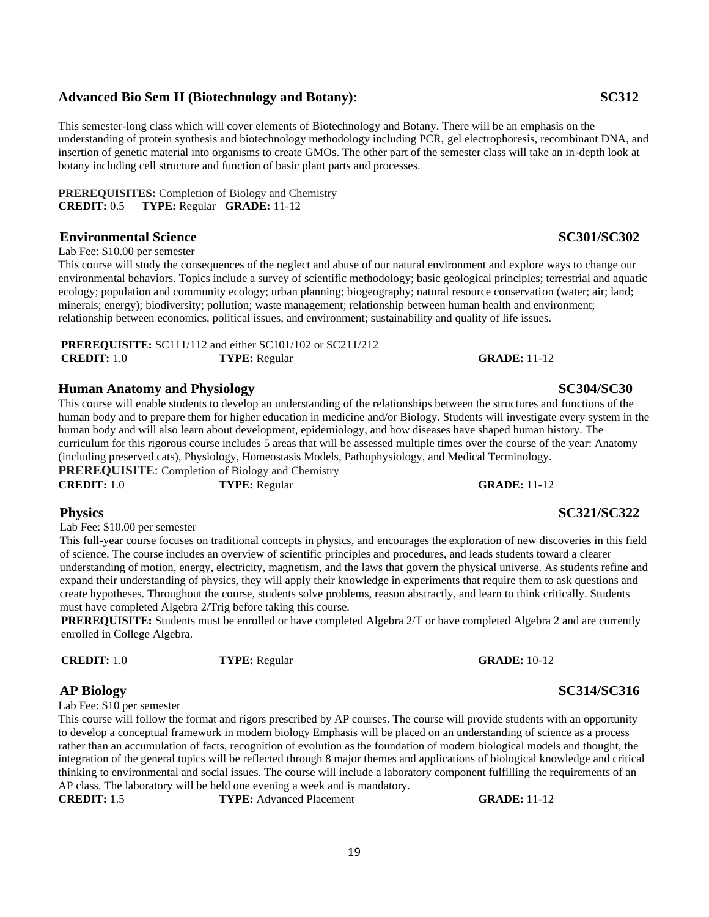## 19

## **Advanced Bio Sem II (Biotechnology and Botany)**: **SC312**

This semester-long class which will cover elements of Biotechnology and Botany. There will be an emphasis on the understanding of protein synthesis and biotechnology methodology including PCR, gel electrophoresis, recombinant DNA, and insertion of genetic material into organisms to create GMOs. The other part of the semester class will take an in-depth look at botany including cell structure and function of basic plant parts and processes.

**PREREQUISITES:** Completion of Biology and Chemistry **CREDIT:** 0.5 **TYPE:** Regular **GRADE:** 11-12

## **Environmental Science SC301/SC302**

Lab Fee: \$10.00 per semester

This course will study the consequences of the neglect and abuse of our natural environment and explore ways to change our environmental behaviors. Topics include a survey of scientific methodology; basic geological principles; terrestrial and aquatic ecology; population and community ecology; urban planning; biogeography; natural resource conservation (water; air; land; minerals; energy); biodiversity; pollution; waste management; relationship between human health and environment; relationship between economics, political issues, and environment; sustainability and quality of life issues.

**PREREQUISITE:** SC111/112 and either SC101/102 or SC211/212 **CREDIT:** 1.0 **TYPE:** Regular **GRADE:** 11-12

## **Human Anatomy and Physiology SC304/SC30**

This course will enable students to develop an understanding of the relationships between the structures and functions of the human body and to prepare them for higher education in medicine and/or Biology. Students will investigate every system in the human body and will also learn about development, epidemiology, and how diseases have shaped human history. The curriculum for this rigorous course includes 5 areas that will be assessed multiple times over the course of the year: Anatomy (including preserved cats), Physiology, Homeostasis Models, Pathophysiology, and Medical Terminology. **PREREQUISITE:** Completion of Biology and Chemistry

|                      | <b>I KEKEY CHALLE, COMPICTION OF DROTOGY AND CHUMBALY</b> |
|----------------------|-----------------------------------------------------------|
| <b>CREDIT:</b> $1.0$ | <b>TYPE:</b> Regular                                      |

Lab Fee: \$10.00 per semester

This full-year course focuses on traditional concepts in physics, and encourages the exploration of new discoveries in this field of science. The course includes an overview of scientific principles and procedures, and leads students toward a clearer understanding of motion, energy, electricity, magnetism, and the laws that govern the physical universe. As students refine and expand their understanding of physics, they will apply their knowledge in experiments that require them to ask questions and create hypotheses. Throughout the course, students solve problems, reason abstractly, and learn to think critically. Students must have completed Algebra 2/Trig before taking this course.

**PREREQUISITE:** Students must be enrolled or have completed Algebra 2/T or have completed Algebra 2 and are currently enrolled in College Algebra.

Lab Fee: \$10 per semester

This course will follow the format and rigors prescribed by AP courses. The course will provide students with an opportunity to develop a conceptual framework in modern biology Emphasis will be placed on an understanding of science as a process rather than an accumulation of facts, recognition of evolution as the foundation of modern biological models and thought, the integration of the general topics will be reflected through 8 major themes and applications of biological knowledge and critical thinking to environmental and social issues. The course will include a laboratory component fulfilling the requirements of an AP class. The laboratory will be held one evening a week and is mandatory.

**CREDIT:** 1.5 **TYPE:** Advanced Placement **GRADE:** 11-12

**GRADE:** 11-12

## **Physics SC321/SC322**

### **AP Biology SC314/SC316**

**CREDIT:** 1.0 **TYPE:** Regular **GRADE:** 10-12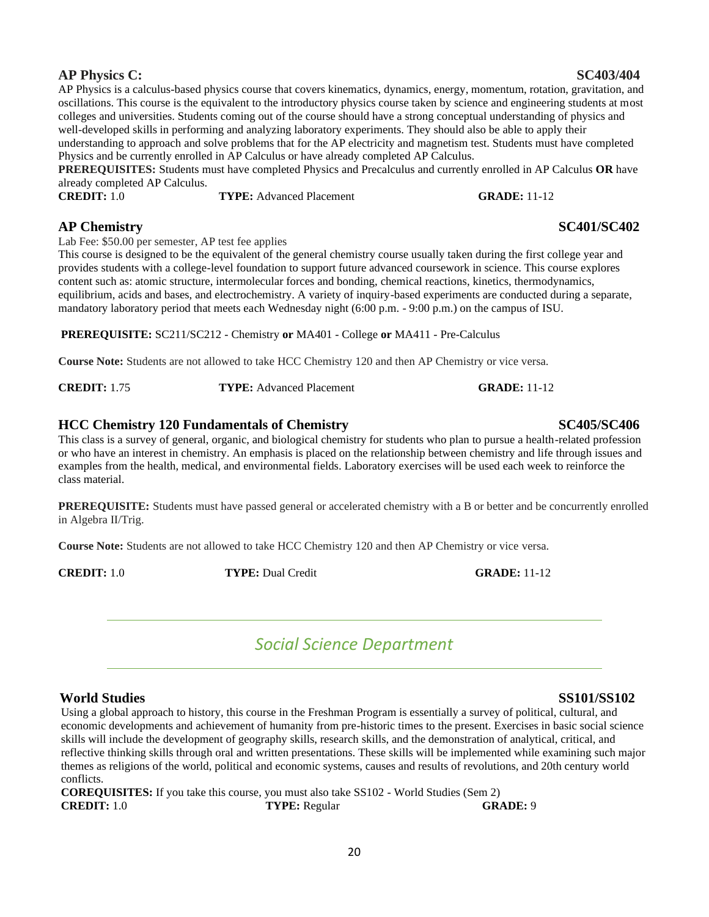## **AP Physics C: SC403/404**

AP Physics is a calculus-based physics course that covers kinematics, dynamics, energy, momentum, rotation, gravitation, and oscillations. This course is the equivalent to the introductory physics course taken by science and engineering students at most colleges and universities. Students coming out of the course should have a strong conceptual understanding of physics and well-developed skills in performing and analyzing laboratory experiments. They should also be able to apply their understanding to approach and solve problems that for the AP electricity and magnetism test. Students must have completed Physics and be currently enrolled in AP Calculus or have already completed AP Calculus.

**PREREQUISITES:** Students must have completed Physics and Precalculus and currently enrolled in AP Calculus **OR** have already completed AP Calculus. **CREDIT:** 1.0 **TYPE:** Advanced Placement **GRADE:** 11-12

## **AP Chemistry SC401/SC402**

Lab Fee: \$50.00 per semester, AP test fee applies

This course is designed to be the equivalent of the general chemistry course usually taken during the first college year and provides students with a college-level foundation to support future advanced coursework in science. This course explores content such as: atomic structure, intermolecular forces and bonding, chemical reactions, kinetics, thermodynamics, equilibrium, acids and bases, and electrochemistry. A variety of inquiry-based experiments are conducted during a separate, mandatory laboratory period that meets each Wednesday night (6:00 p.m. - 9:00 p.m.) on the campus of ISU.

**PREREQUISITE:** SC211/SC212 - Chemistry **or** MA401 - College **or** MA411 - Pre-Calculus

**Course Note:** Students are not allowed to take HCC Chemistry 120 and then AP Chemistry or vice versa.

| <b>CREDIT: 1.75</b> | <b>TYPE:</b> Advanced Placement | <b>GRADE: 11-12</b> |
|---------------------|---------------------------------|---------------------|
|                     |                                 |                     |

## **HCC Chemistry 120 Fundamentals of Chemistry SC405/SC406**

This class is a survey of general, organic, and biological chemistry for students who plan to pursue a health-related profession or who have an interest in chemistry. An emphasis is placed on the relationship between chemistry and life through issues and examples from the health, medical, and environmental fields. Laboratory exercises will be used each week to reinforce the class material.

**PREREQUISITE:** Students must have passed general or accelerated chemistry with a B or better and be concurrently enrolled in Algebra II/Trig.

**Course Note:** Students are not allowed to take HCC Chemistry 120 and then AP Chemistry or vice versa.

<span id="page-19-0"></span>

*Social Science Department*

## **World Studies SS101/SS102**

Using a global approach to history, this course in the Freshman Program is essentially a survey of political, cultural, and economic developments and achievement of humanity from pre-historic times to the present. Exercises in basic social science skills will include the development of geography skills, research skills, and the demonstration of analytical, critical, and reflective thinking skills through oral and written presentations. These skills will be implemented while examining such major themes as religions of the world, political and economic systems, causes and results of revolutions, and 20th century world conflicts.

**COREQUISITES:** If you take this course, you must also take SS102 - World Studies (Sem 2) **CREDIT:** 1.0 **TYPE:** Regular **GRADE:** 9

**CREDIT:** 1.0 **TYPE:** Dual Credit **GRADE:** 11-12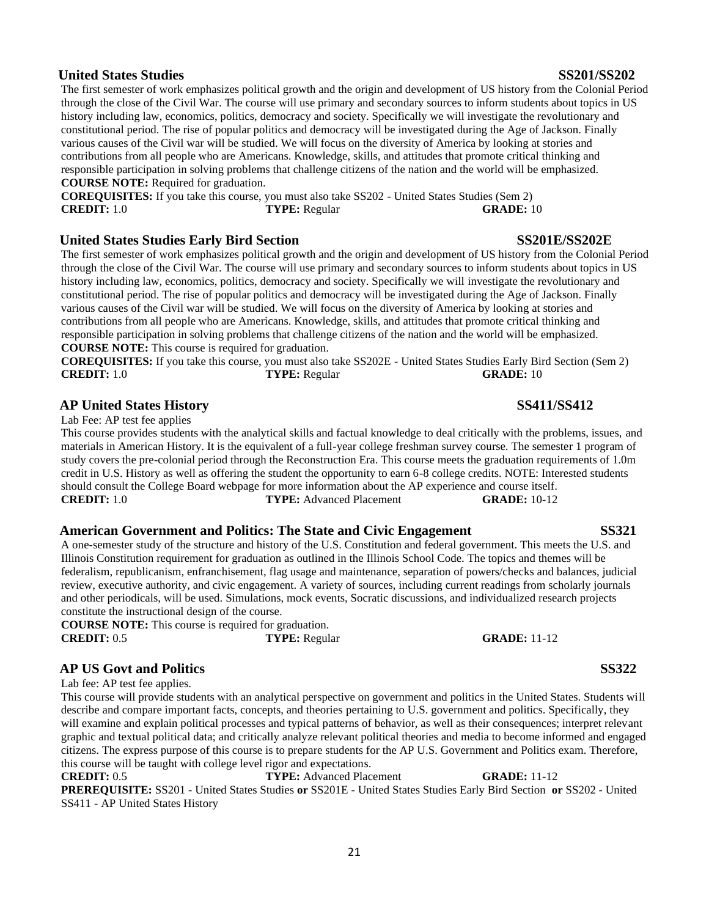### 21

## **United States Studies SS201/SS202**

The first semester of work emphasizes political growth and the origin and development of US history from the Colonial Period through the close of the Civil War. The course will use primary and secondary sources to inform students about topics in US history including law, economics, politics, democracy and society. Specifically we will investigate the revolutionary and constitutional period. The rise of popular politics and democracy will be investigated during the Age of Jackson. Finally various causes of the Civil war will be studied. We will focus on the diversity of America by looking at stories and contributions from all people who are Americans. Knowledge, skills, and attitudes that promote critical thinking and responsible participation in solving problems that challenge citizens of the nation and the world will be emphasized. **COURSE NOTE:** Required for graduation.

**COREQUISITES:** If you take this course, you must also take SS202 - United States Studies (Sem 2) **CREDIT:** 1.0 **TYPE:** Regular **GRADE:** 10

## **United States Studies Early Bird Section SS201E/SS202E**

The first semester of work emphasizes political growth and the origin and development of US history from the Colonial Period through the close of the Civil War. The course will use primary and secondary sources to inform students about topics in US history including law, economics, politics, democracy and society. Specifically we will investigate the revolutionary and constitutional period. The rise of popular politics and democracy will be investigated during the Age of Jackson. Finally various causes of the Civil war will be studied. We will focus on the diversity of America by looking at stories and contributions from all people who are Americans. Knowledge, skills, and attitudes that promote critical thinking and responsible participation in solving problems that challenge citizens of the nation and the world will be emphasized. **COURSE NOTE:** This course is required for graduation.

**COREQUISITES:** If you take this course, you must also take SS202E - United States Studies Early Bird Section (Sem 2) **CREDIT:** 1.0 **TYPE:** Regular **GRADE:** 10

## **AP United States History SS411/SS412**

Lab Fee: AP test fee applies

This course provides students with the analytical skills and factual knowledge to deal critically with the problems, issues, and materials in American History. It is the equivalent of a full-year college freshman survey course. The semester 1 program of study covers the pre-colonial period through the Reconstruction Era. This course meets the graduation requirements of 1.0m credit in U.S. History as well as offering the student the opportunity to earn 6-8 college credits. NOTE: Interested students should consult the College Board webpage for more information about the AP experience and course itself. **CREDIT:** 1.0 **TYPE:** Advanced Placement **GRADE:** 10-12

### **American Government and Politics: The State and Civic Engagement SS321**

A one-semester study of the structure and history of the U.S. Constitution and federal government. This meets the U.S. and Illinois Constitution requirement for graduation as outlined in the Illinois School Code. The topics and themes will be federalism, republicanism, enfranchisement, flag usage and maintenance, separation of powers/checks and balances, judicial review, executive authority, and civic engagement. A variety of sources, including current readings from scholarly journals and other periodicals, will be used. Simulations, mock events, Socratic discussions, and individualized research projects constitute the instructional design of the course.

**COURSE NOTE:** This course is required for graduation. **CREDIT:** 0.5 **TYPE:** Regular **GRADE:** 11-12

## **AP US Govt and Politics SS322**

Lab fee: AP test fee applies.

This course will provide students with an analytical perspective on government and politics in the United States. Students will describe and compare important facts, concepts, and theories pertaining to U.S. government and politics. Specifically, they will examine and explain political processes and typical patterns of behavior, as well as their consequences; interpret relevant graphic and textual political data; and critically analyze relevant political theories and media to become informed and engaged citizens. The express purpose of this course is to prepare students for the AP U.S. Government and Politics exam. Therefore, this course will be taught with college level rigor and expectations.

**CREDIT:** 0.5 **TYPE:** Advanced Placement **GRADE:** 11-12 **PREREQUISITE:** SS201 - United States Studies **or** SS201E - United States Studies Early Bird Section **or** SS202 - United SS411 - AP United States History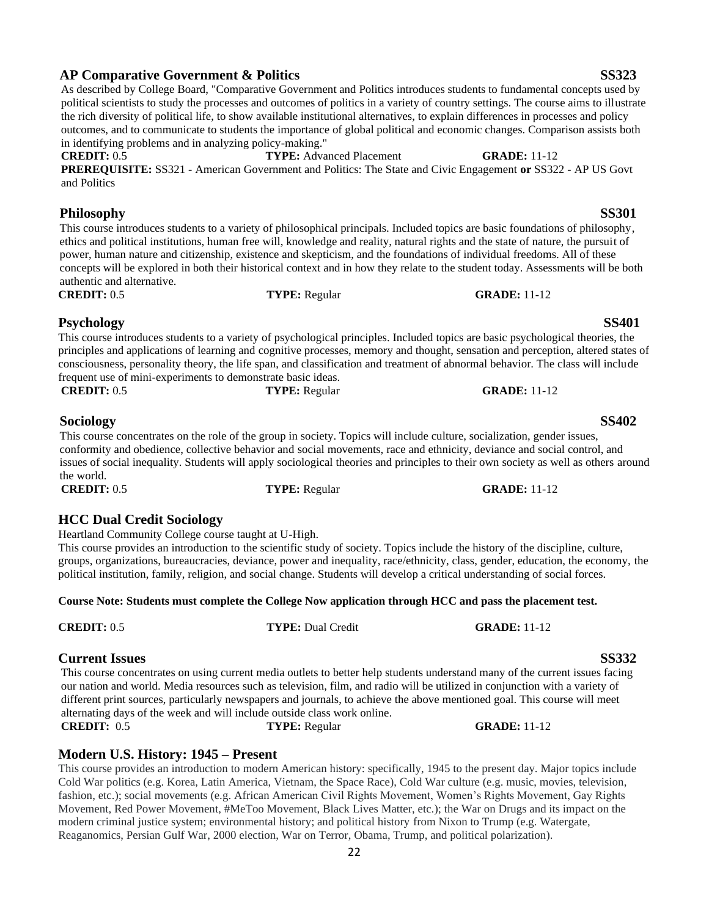### **AP Comparative Government & Politics SS323** As described by College Board, "Comparative Government and Politics introduces students to fundamental concepts used by

in identifying problems and in analyzing policy-making."

# This course introduces students to a variety of psychological principles. Included topics are basic psychological theories, the

authentic and alternative.

and Politics

principles and applications of learning and cognitive processes, memory and thought, sensation and perception, altered states of consciousness, personality theory, the life span, and classification and treatment of abnormal behavior. The class will include frequent use of mini-experiments to demonstrate basic ideas.

**Psychology SS401**

political scientists to study the processes and outcomes of politics in a variety of country settings. The course aims to illustrate the rich diversity of political life, to show available institutional alternatives, to explain differences in processes and policy outcomes, and to communicate to students the importance of global political and economic changes. Comparison assists both

**PREREQUISITE:** SS321 - American Government and Politics: The State and Civic Engagement **or** SS322 - AP US Govt

This course introduces students to a variety of philosophical principals. Included topics are basic foundations of philosophy, ethics and political institutions, human free will, knowledge and reality, natural rights and the state of nature, the pursuit of power, human nature and citizenship, existence and skepticism, and the foundations of individual freedoms. All of these concepts will be explored in both their historical context and in how they relate to the student today. Assessments will be both

**CREDIT:** 0.5 **TYPE:** Regular **GRADE:** 11-12

**CREDIT:** 0.5 **TYPE:** Regular **GRADE:** 11-12

**CREDIT:** 0.5 **TYPE:** Advanced Placement **GRADE:** 11-12

**Sociology SS402**

This course concentrates on the role of the group in society. Topics will include culture, socialization, gender issues, conformity and obedience, collective behavior and social movements, race and ethnicity, deviance and social control, and issues of social inequality. Students will apply sociological theories and principles to their own society as well as others around the world. **CREDIT:** 0.5 **TYPE:** Regular **GRADE:** 11-12

**HCC Dual Credit Sociology** Heartland Community College course taught at U-High.

This course provides an introduction to the scientific study of society. Topics include the history of the discipline, culture, groups, organizations, bureaucracies, deviance, power and inequality, race/ethnicity, class, gender, education, the economy, the political institution, family, religion, and social change. Students will develop a critical understanding of social forces.

## **Course Note: Students must complete the College Now application through HCC and pass the placement test.**

This course concentrates on using current media outlets to better help students understand many of the current issues facing our nation and world. Media resources such as television, film, and radio will be utilized in conjunction with a variety of different print sources, particularly newspapers and journals, to achieve the above mentioned goal. This course will meet alternating days of the week and will include outside class work online.<br> **CREDIT:** 0.5 **TYPE:** Regular **CRADE:** 11-12

## **Modern U.S. History: 1945 – Present**

This course provides an introduction to modern American history: specifically, 1945 to the present day. Major topics include Cold War politics (e.g. Korea, Latin America, Vietnam, the Space Race), Cold War culture (e.g. music, movies, television, fashion, etc.); social movements (e.g. African American Civil Rights Movement, Women's Rights Movement, Gay Rights Movement, Red Power Movement, #MeToo Movement, Black Lives Matter, etc.); the War on Drugs and its impact on the modern criminal justice system; environmental history; and political history from Nixon to Trump (e.g. Watergate, Reaganomics, Persian Gulf War, 2000 election, War on Terror, Obama, Trump, and political polarization).

### **Philosophy SS301**

### **Current Issues SS332**

**CREDIT:** 0.5 **TYPE:** Dual Credit **GRADE:** 11-12